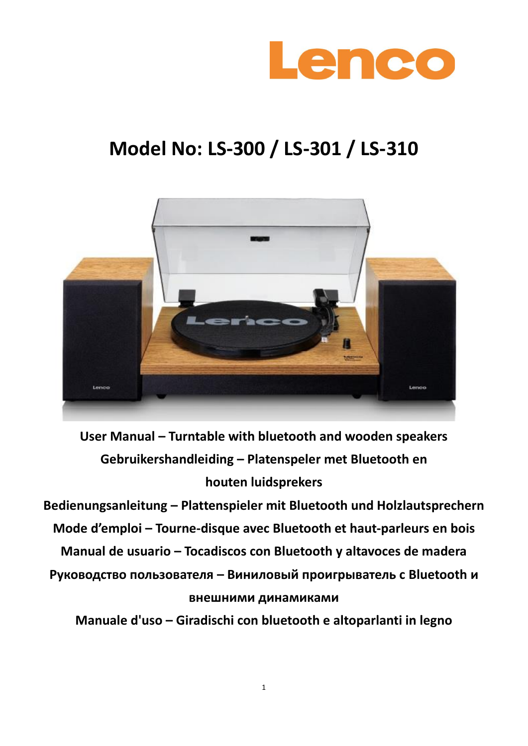

# **Model No: LS-300 / LS-301 / LS-310**



**User Manual – Turntable with bluetooth and wooden speakers Gebruikershandleiding – Platenspeler met Bluetooth en houten luidsprekers**

**Bedienungsanleitung – Plattenspieler mit Bluetooth und Holzlautsprechern Mode d'emploi – Tourne-disque avec Bluetooth et haut-parleurs en bois Manual de usuario – Tocadiscos con Bluetooth y altavoces de madera Руководство пользователя – Виниловый проигрыватель с Bluetooth и внешними динамиками**

**Manuale d'uso – Giradischi con bluetooth e altoparlanti in legno**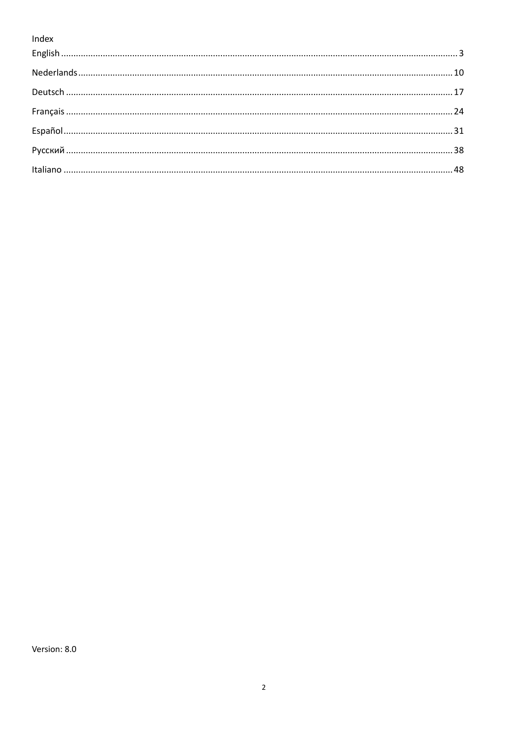Index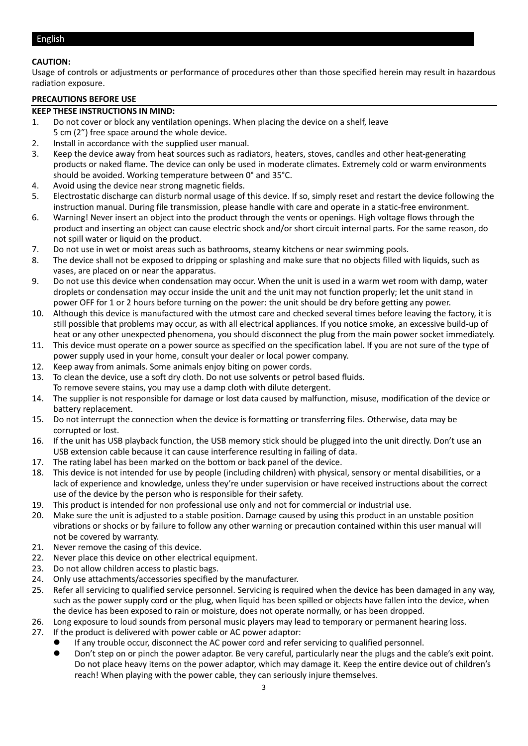#### <span id="page-2-0"></span>English

#### **CAUTION:**

Usage of controls or adjustments or performance of procedures other than those specified herein may result in hazardous radiation exposure.

#### **PRECAUTIONS BEFORE USE**

#### **KEEP THESE INSTRUCTIONS IN MIND:**

- 1. Do not cover or block any ventilation openings. When placing the device on a shelf, leave 5 cm (2") free space around the whole device.
- 2. Install in accordance with the supplied user manual.
- 3. Keep the device away from heat sources such as radiators, heaters, stoves, candles and other heat-generating products or naked flame. The device can only be used in moderate climates. Extremely cold or warm environments should be avoided. Working temperature between 0° and 35°C.
- 4. Avoid using the device near strong magnetic fields.
- 5. Electrostatic discharge can disturb normal usage of this device. If so, simply reset and restart the device following the instruction manual. During file transmission, please handle with care and operate in a static-free environment.
- 6. Warning! Never insert an object into the product through the vents or openings. High voltage flows through the product and inserting an object can cause electric shock and/or short circuit internal parts. For the same reason, do not spill water or liquid on the product.
- 7. Do not use in wet or moist areas such as bathrooms, steamy kitchens or near swimming pools.
- 8. The device shall not be exposed to dripping or splashing and make sure that no objects filled with liquids, such as vases, are placed on or near the apparatus.
- 9. Do not use this device when condensation may occur. When the unit is used in a warm wet room with damp, water droplets or condensation may occur inside the unit and the unit may not function properly; let the unit stand in power OFF for 1 or 2 hours before turning on the power: the unit should be dry before getting any power.
- 10. Although this device is manufactured with the utmost care and checked several times before leaving the factory, it is still possible that problems may occur, as with all electrical appliances. If you notice smoke, an excessive build-up of heat or any other unexpected phenomena, you should disconnect the plug from the main power socket immediately.
- 11. This device must operate on a power source as specified on the specification label. If you are not sure of the type of power supply used in your home, consult your dealer or local power company.
- 12. Keep away from animals. Some animals enjoy biting on power cords.
- 13. To clean the device, use a soft dry cloth. Do not use solvents or petrol based fluids. To remove severe stains, you may use a damp cloth with dilute detergent.
- 14. The supplier is not responsible for damage or lost data caused by malfunction, misuse, modification of the device or battery replacement.
- 15. Do not interrupt the connection when the device is formatting or transferring files. Otherwise, data may be corrupted or lost.
- 16. If the unit has USB playback function, the USB memory stick should be plugged into the unit directly. Don't use an USB extension cable because it can cause interference resulting in failing of data.
- 17. The rating label has been marked on the bottom or back panel of the device.
- 18. This device is not intended for use by people (including children) with physical, sensory or mental disabilities, or a lack of experience and knowledge, unless they're under supervision or have received instructions about the correct use of the device by the person who is responsible for their safety.
- 19. This product is intended for non professional use only and not for commercial or industrial use.
- 20. Make sure the unit is adjusted to a stable position. Damage caused by using this product in an unstable position vibrations or shocks or by failure to follow any other warning or precaution contained within this user manual will not be covered by warranty.
- 21. Never remove the casing of this device.
- 22. Never place this device on other electrical equipment.
- 23. Do not allow children access to plastic bags.
- 24. Only use attachments/accessories specified by the manufacturer.
- 25. Refer all servicing to qualified service personnel. Servicing is required when the device has been damaged in any way, such as the power supply cord or the plug, when liquid has been spilled or objects have fallen into the device, when the device has been exposed to rain or moisture, does not operate normally, or has been dropped.
- 26. Long exposure to loud sounds from personal music players may lead to temporary or permanent hearing loss.
- 27. If the product is delivered with power cable or AC power adaptor:
	- ⚫ If any trouble occur, disconnect the AC power cord and refer servicing to qualified personnel.
		- ⚫ Don't step on or pinch the power adaptor. Be very careful, particularly near the plugs and the cable's exit point. Do not place heavy items on the power adaptor, which may damage it. Keep the entire device out of children's reach! When playing with the power cable, they can seriously injure themselves.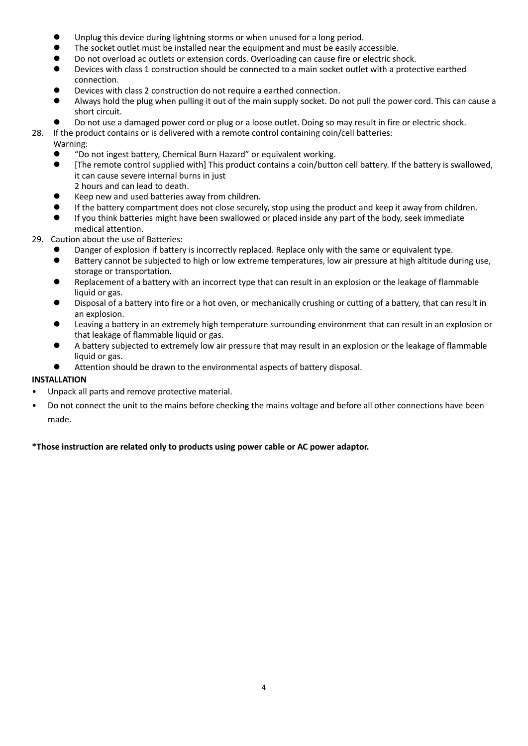- Unplug this device during lightning storms or when unused for a long period.
- ⚫ The socket outlet must be installed near the equipment and must be easily accessible.
- ⚫ Do not overload ac outlets or extension cords. Overloading can cause fire or electric shock.
- ⚫ Devices with class 1 construction should be connected to a main socket outlet with a protective earthed connection.
- ⚫ Devices with class 2 construction do not require a earthed connection.
- ⚫ Always hold the plug when pulling it out of the main supply socket. Do not pull the power cord. This can cause a short circuit.
- ⚫ Do not use a damaged power cord or plug or a loose outlet. Doing so may result in fire or electric shock.
- 28. If the product contains or is delivered with a remote control containing coin/cell batteries:
	- Warning:
		- ⚫ "Do not ingest battery, Chemical Burn Hazard" or equivalent working.
		- [The remote control supplied with] This product contains a coin/button cell battery. If the battery is swallowed, it can cause severe internal burns in just
		- 2 hours and can lead to death.
		- ⚫ Keep new and used batteries away from children. ⚫ If the battery compartment does not close securely, stop using the product and keep it away from children.
		- If you think batteries might have been swallowed or placed inside any part of the body, seek immediate medical attention.
- 29. Caution about the use of Batteries:
	- Danger of explosion if battery is incorrectly replaced. Replace only with the same or equivalent type.
	- ⚫ Battery cannot be subjected to high or low extreme temperatures, low air pressure at high altitude during use, storage or transportation.
	- ⚫ Replacement of a battery with an incorrect type that can result in an explosion or the leakage of flammable liquid or gas.
	- ⚫ Disposal of a battery into fire or a hot oven, or mechanically crushing or cutting of a battery, that can result in an explosion.
	- ⚫ Leaving a battery in an extremely high temperature surrounding environment that can result in an explosion or that leakage of flammable liquid or gas.
	- ⚫ A battery subjected to extremely low air pressure that may result in an explosion or the leakage of flammable liquid or gas.
	- ⚫ Attention should be drawn to the environmental aspects of battery disposal.

# **INSTALLATION**

- Unpack all parts and remove protective material.
- Do not connect the unit to the mains before checking the mains voltage and before all other connections have been made.

# **\*Those instruction are related only to products using power cable or AC power adaptor.**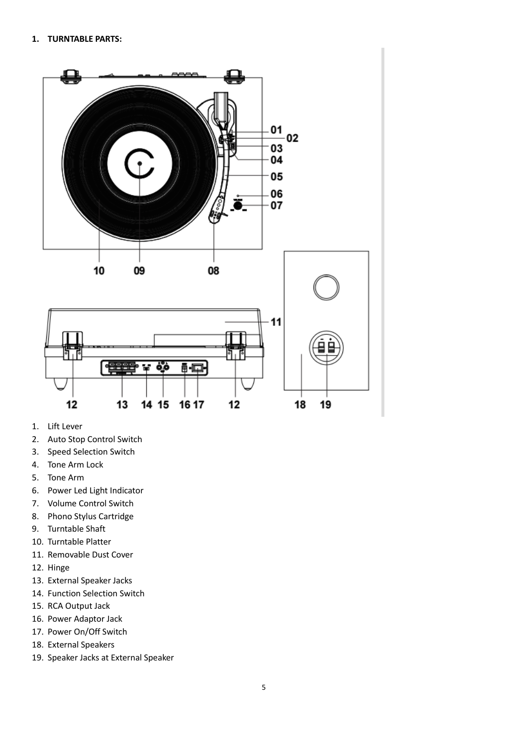

- 1. Lift Lever
- 2. Auto Stop Control Switch
- 3. Speed Selection Switch
- 4. Tone Arm Lock
- 5. Tone Arm
- 6. Power Led Light Indicator
- 7. Volume Control Switch
- 8. Phono Stylus Cartridge
- 9. Turntable Shaft
- 10. Turntable Platter
- 11. Removable Dust Cover
- 12. Hinge
- 13. External Speaker Jacks
- 14. Function Selection Switch
- 15. RCA Output Jack
- 16. Power Adaptor Jack
- 17. Power On/Off Switch
- 18. External Speakers
- 19. Speaker Jacks at External Speaker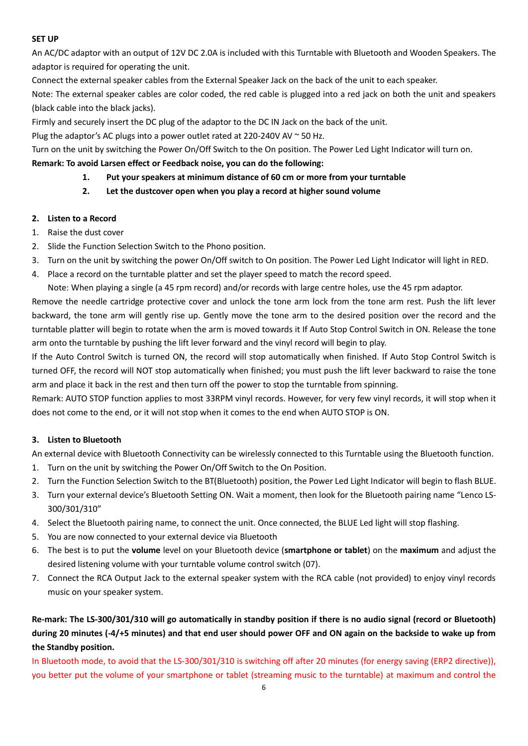#### **SET UP**

An AC/DC adaptor with an output of 12V DC 2.0A is included with this Turntable with Bluetooth and Wooden Speakers. The adaptor is required for operating the unit.

Connect the external speaker cables from the External Speaker Jack on the back of the unit to each speaker.

Note: The external speaker cables are color coded, the red cable is plugged into a red jack on both the unit and speakers (black cable into the black jacks).

Firmly and securely insert the DC plug of the adaptor to the DC IN Jack on the back of the unit.

Plug the adaptor's AC plugs into a power outlet rated at 220-240V AV  $\sim$  50 Hz.

Turn on the unit by switching the Power On/Off Switch to the On position. The Power Led Light Indicator will turn on.

#### **Remark: To avoid Larsen effect or Feedback noise, you can do the following:**

- **1. Put your speakers at minimum distance of 60 cm or more from your turntable**
- **2. Let the dustcover open when you play a record at higher sound volume**

#### **2. Listen to a Record**

- 1. Raise the dust cover
- 2. Slide the Function Selection Switch to the Phono position.
- 3. Turn on the unit by switching the power On/Off switch to On position. The Power Led Light Indicator will light in RED.
- 4. Place a record on the turntable platter and set the player speed to match the record speed.

Note: When playing a single (a 45 rpm record) and/or records with large centre holes, use the 45 rpm adaptor.

Remove the needle cartridge protective cover and unlock the tone arm lock from the tone arm rest. Push the lift lever backward, the tone arm will gently rise up. Gently move the tone arm to the desired position over the record and the turntable platter will begin to rotate when the arm is moved towards it If Auto Stop Control Switch in ON. Release the tone arm onto the turntable by pushing the lift lever forward and the vinyl record will begin to play.

If the Auto Control Switch is turned ON, the record will stop automatically when finished. If Auto Stop Control Switch is turned OFF, the record will NOT stop automatically when finished; you must push the lift lever backward to raise the tone arm and place it back in the rest and then turn off the power to stop the turntable from spinning.

Remark: AUTO STOP function applies to most 33RPM vinyl records. However, for very few vinyl records, it will stop when it does not come to the end, or it will not stop when it comes to the end when AUTO STOP is ON.

# **3. Listen to Bluetooth**

An external device with Bluetooth Connectivity can be wirelessly connected to this Turntable using the Bluetooth function.

- 1. Turn on the unit by switching the Power On/Off Switch to the On Position.
- 2. Turn the Function Selection Switch to the BT(Bluetooth) position, the Power Led Light Indicator will begin to flash BLUE.
- 3. Turn your external device's Bluetooth Setting ON. Wait a moment, then look for the Bluetooth pairing name "Lenco LS-300/301/310"
- 4. Select the Bluetooth pairing name, to connect the unit. Once connected, the BLUE Led light will stop flashing.
- 5. You are now connected to your external device via Bluetooth
- 6. The best is to put the **volume** level on your Bluetooth device (**smartphone or tablet**) on the **maximum** and adjust the desired listening volume with your turntable volume control switch (07).
- 7. Connect the RCA Output Jack to the external speaker system with the RCA cable (not provided) to enjoy vinyl records music on your speaker system.

**Re-mark: The LS-300/301/310 will go automatically in standby position if there is no audio signal (record or Bluetooth) during 20 minutes (-4/+5 minutes) and that end user should power OFF and ON again on the backside to wake up from the Standby position.**

In Bluetooth mode, to avoid that the LS-300/301/310 is switching off after 20 minutes (for energy saving (ERP2 directive)), you better put the volume of your smartphone or tablet (streaming music to the turntable) at maximum and control the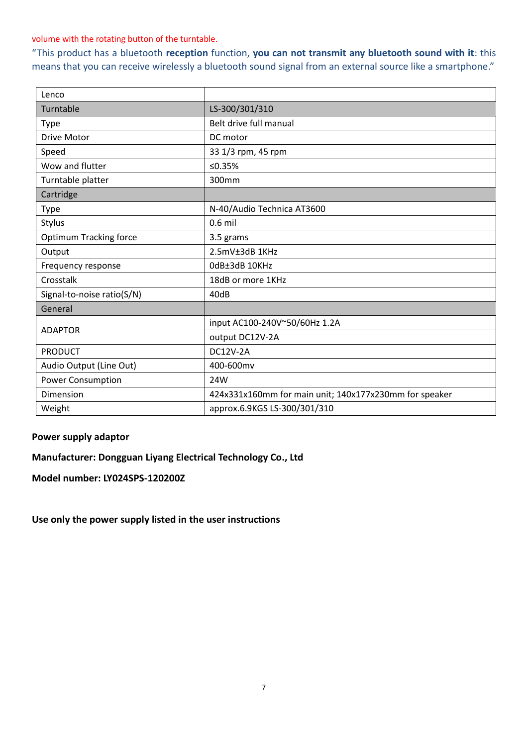#### volume with the rotating button of the turntable.

"This product has a bluetooth **reception** function, **you can not transmit any bluetooth sound with it**: this means that you can receive wirelessly a bluetooth sound signal from an external source like a smartphone."

| Lenco                         |                                                        |
|-------------------------------|--------------------------------------------------------|
| Turntable                     | LS-300/301/310                                         |
| Type                          | Belt drive full manual                                 |
| <b>Drive Motor</b>            | DC motor                                               |
| Speed                         | 33 1/3 rpm, 45 rpm                                     |
| Wow and flutter               | ≤0.35%                                                 |
| Turntable platter             | 300mm                                                  |
| Cartridge                     |                                                        |
| Type                          | N-40/Audio Technica AT3600                             |
| Stylus                        | $0.6$ mil                                              |
| <b>Optimum Tracking force</b> | 3.5 grams                                              |
| Output                        | 2.5mV±3dB 1KHz                                         |
| Frequency response            | OdB±3dB 10KHz                                          |
| Crosstalk                     | 18dB or more 1KHz                                      |
| Signal-to-noise ratio(S/N)    | 40dB                                                   |
| General                       |                                                        |
| <b>ADAPTOR</b>                | input AC100-240V~50/60Hz 1.2A                          |
|                               | output DC12V-2A                                        |
| <b>PRODUCT</b>                | <b>DC12V-2A</b>                                        |
| Audio Output (Line Out)       | 400-600mv                                              |
| <b>Power Consumption</b>      | 24W                                                    |
| Dimension                     | 424x331x160mm for main unit; 140x177x230mm for speaker |
| Weight                        | approx.6.9KGS LS-300/301/310                           |

# **Power supply adaptor**

**Manufacturer: Dongguan Liyang Electrical Technology Co., Ltd**

**Model number: LY024SPS-120200Z**

**Use only the power supply listed in the user instructions**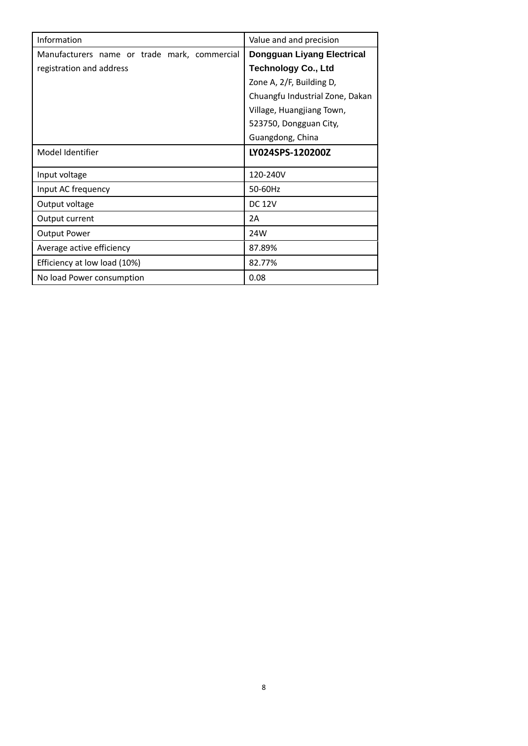| Information                                  | Value and and precision           |
|----------------------------------------------|-----------------------------------|
| Manufacturers name or trade mark, commercial | <b>Dongguan Liyang Electrical</b> |
| registration and address                     | <b>Technology Co., Ltd</b>        |
|                                              | Zone A, 2/F, Building D,          |
|                                              | Chuangfu Industrial Zone, Dakan   |
|                                              | Village, Huangjiang Town,         |
|                                              | 523750, Dongguan City,            |
|                                              | Guangdong, China                  |
| Model Identifier                             | LY024SPS-120200Z                  |
| Input voltage                                | 120-240V                          |
| Input AC frequency                           | 50-60Hz                           |
| Output voltage                               | <b>DC 12V</b>                     |
| Output current                               | 2A                                |
| <b>Output Power</b>                          | 24W                               |
| Average active efficiency                    | 87.89%                            |
| Efficiency at low load (10%)                 | 82.77%                            |
| No load Power consumption                    | 0.08                              |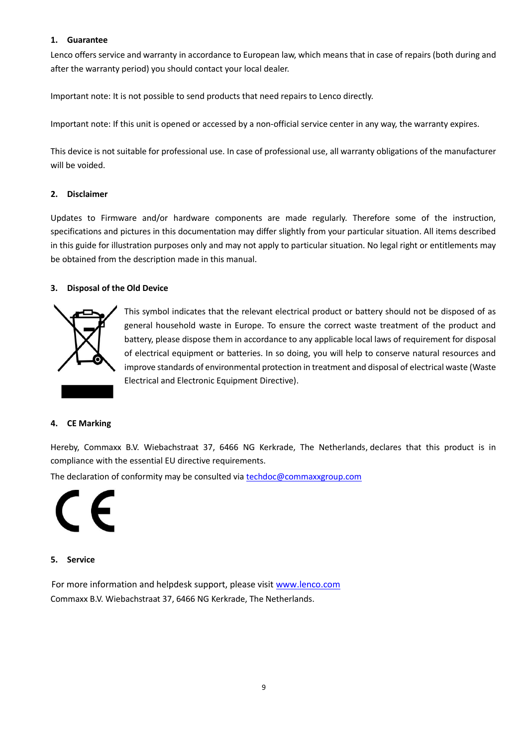#### **1. Guarantee**

Lenco offers service and warranty in accordance to European law, which means that in case of repairs (both during and after the warranty period) you should contact your local dealer.

Important note: It is not possible to send products that need repairs to Lenco directly.

Important note: If this unit is opened or accessed by a non-official service center in any way, the warranty expires.

This device is not suitable for professional use. In case of professional use, all warranty obligations of the manufacturer will be voided.

#### **2. Disclaimer**

Updates to Firmware and/or hardware components are made regularly. Therefore some of the instruction, specifications and pictures in this documentation may differ slightly from your particular situation. All items described in this guide for illustration purposes only and may not apply to particular situation. No legal right or entitlements may be obtained from the description made in this manual.

#### **3. Disposal of the Old Device**



This symbol indicates that the relevant electrical product or battery should not be disposed of as general household waste in Europe. To ensure the correct waste treatment of the product and battery, please dispose them in accordance to any applicable local laws of requirement for disposal of electrical equipment or batteries. In so doing, you will help to conserve natural resources and improve standards of environmental protection in treatment and disposal of electrical waste (Waste Electrical and Electronic Equipment Directive).

#### **4. CE Marking**

Hereby, Commaxx B.V. Wiebachstraat 37, 6466 NG Kerkrade, The Netherlands, declares that this product is in compliance with the essential EU directive requirements.

The declaration of conformity may be consulted vi[a techdoc@commaxxgroup.com](mailto:techdoc@commaxxgroup.com)



#### **5. Service**

For more information and helpdesk support, please visit [www.lenco.com](http://www.lenco.com/) Commaxx B.V. Wiebachstraat 37, 6466 NG Kerkrade, The Netherlands.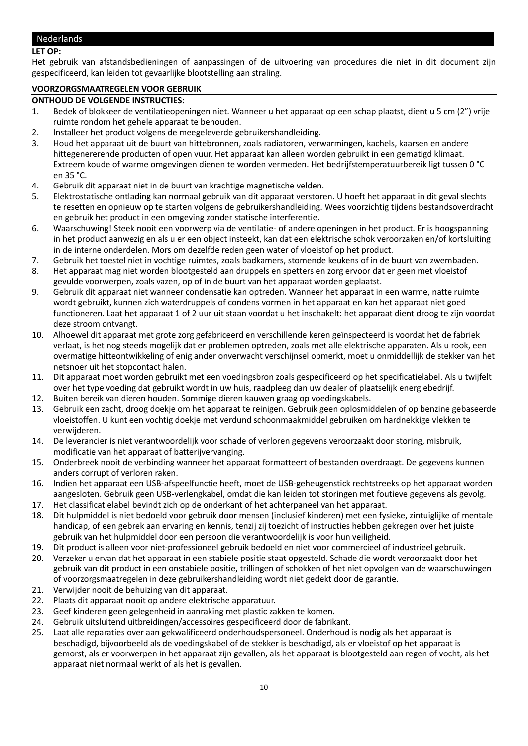#### <span id="page-9-0"></span>Nederlands

#### **LET OP:**

Het gebruik van afstandsbedieningen of aanpassingen of de uitvoering van procedures die niet in dit document zijn gespecificeerd, kan leiden tot gevaarlijke blootstelling aan straling.

#### **VOORZORGSMAATREGELEN VOOR GEBRUIK**

#### **ONTHOUD DE VOLGENDE INSTRUCTIES:**

- 1. Bedek of blokkeer de ventilatieopeningen niet. Wanneer u het apparaat op een schap plaatst, dient u 5 cm (2") vrije ruimte rondom het gehele apparaat te behouden.
- 2. Installeer het product volgens de meegeleverde gebruikershandleiding.
- 3. Houd het apparaat uit de buurt van hittebronnen, zoals radiatoren, verwarmingen, kachels, kaarsen en andere hittegenererende producten of open vuur. Het apparaat kan alleen worden gebruikt in een gematigd klimaat. Extreem koude of warme omgevingen dienen te worden vermeden. Het bedrijfstemperatuurbereik ligt tussen 0 °C en 35 °C.
- 4. Gebruik dit apparaat niet in de buurt van krachtige magnetische velden.
- 5. Elektrostatische ontlading kan normaal gebruik van dit apparaat verstoren. U hoeft het apparaat in dit geval slechts te resetten en opnieuw op te starten volgens de gebruikershandleiding. Wees voorzichtig tijdens bestandsoverdracht en gebruik het product in een omgeving zonder statische interferentie.
- 6. Waarschuwing! Steek nooit een voorwerp via de ventilatie- of andere openingen in het product. Er is hoogspanning in het product aanwezig en als u er een object insteekt, kan dat een elektrische schok veroorzaken en/of kortsluiting in de interne onderdelen. Mors om dezelfde reden geen water of vloeistof op het product.
- 7. Gebruik het toestel niet in vochtige ruimtes, zoals badkamers, stomende keukens of in de buurt van zwembaden.
- 8. Het apparaat mag niet worden blootgesteld aan druppels en spetters en zorg ervoor dat er geen met vloeistof gevulde voorwerpen, zoals vazen, op of in de buurt van het apparaat worden geplaatst.
- 9. Gebruik dit apparaat niet wanneer condensatie kan optreden. Wanneer het apparaat in een warme, natte ruimte wordt gebruikt, kunnen zich waterdruppels of condens vormen in het apparaat en kan het apparaat niet goed functioneren. Laat het apparaat 1 of 2 uur uit staan voordat u het inschakelt: het apparaat dient droog te zijn voordat deze stroom ontvangt.
- 10. Alhoewel dit apparaat met grote zorg gefabriceerd en verschillende keren geïnspecteerd is voordat het de fabriek verlaat, is het nog steeds mogelijk dat er problemen optreden, zoals met alle elektrische apparaten. Als u rook, een overmatige hitteontwikkeling of enig ander onverwacht verschijnsel opmerkt, moet u onmiddellijk de stekker van het netsnoer uit het stopcontact halen.
- 11. Dit apparaat moet worden gebruikt met een voedingsbron zoals gespecificeerd op het specificatielabel. Als u twijfelt over het type voeding dat gebruikt wordt in uw huis, raadpleeg dan uw dealer of plaatselijk energiebedrijf.
- 12. Buiten bereik van dieren houden. Sommige dieren kauwen graag op voedingskabels.
- 13. Gebruik een zacht, droog doekje om het apparaat te reinigen. Gebruik geen oplosmiddelen of op benzine gebaseerde vloeistoffen. U kunt een vochtig doekje met verdund schoonmaakmiddel gebruiken om hardnekkige vlekken te verwijderen.
- 14. De leverancier is niet verantwoordelijk voor schade of verloren gegevens veroorzaakt door storing, misbruik, modificatie van het apparaat of batterijvervanging.
- 15. Onderbreek nooit de verbinding wanneer het apparaat formatteert of bestanden overdraagt. De gegevens kunnen anders corrupt of verloren raken.
- 16. Indien het apparaat een USB-afspeelfunctie heeft, moet de USB-geheugenstick rechtstreeks op het apparaat worden aangesloten. Gebruik geen USB-verlengkabel, omdat die kan leiden tot storingen met foutieve gegevens als gevolg.
- 17. Het classificatielabel bevindt zich op de onderkant of het achterpaneel van het apparaat.
- 18. Dit hulpmiddel is niet bedoeld voor gebruik door mensen (inclusief kinderen) met een fysieke, zintuiglijke of mentale handicap, of een gebrek aan ervaring en kennis, tenzij zij toezicht of instructies hebben gekregen over het juiste gebruik van het hulpmiddel door een persoon die verantwoordelijk is voor hun veiligheid.
- 19. Dit product is alleen voor niet-professioneel gebruik bedoeld en niet voor commercieel of industrieel gebruik.
- 20. Verzeker u ervan dat het apparaat in een stabiele positie staat opgesteld. Schade die wordt veroorzaakt door het gebruik van dit product in een onstabiele positie, trillingen of schokken of het niet opvolgen van de waarschuwingen of voorzorgsmaatregelen in deze gebruikershandleiding wordt niet gedekt door de garantie.
- 21. Verwijder nooit de behuizing van dit apparaat.
- 22. Plaats dit apparaat nooit op andere elektrische apparatuur.
- 23. Geef kinderen geen gelegenheid in aanraking met plastic zakken te komen.
- 24. Gebruik uitsluitend uitbreidingen/accessoires gespecificeerd door de fabrikant.
- 25. Laat alle reparaties over aan gekwalificeerd onderhoudspersoneel. Onderhoud is nodig als het apparaat is beschadigd, bijvoorbeeld als de voedingskabel of de stekker is beschadigd, als er vloeistof op het apparaat is gemorst, als er voorwerpen in het apparaat zijn gevallen, als het apparaat is blootgesteld aan regen of vocht, als het apparaat niet normaal werkt of als het is gevallen.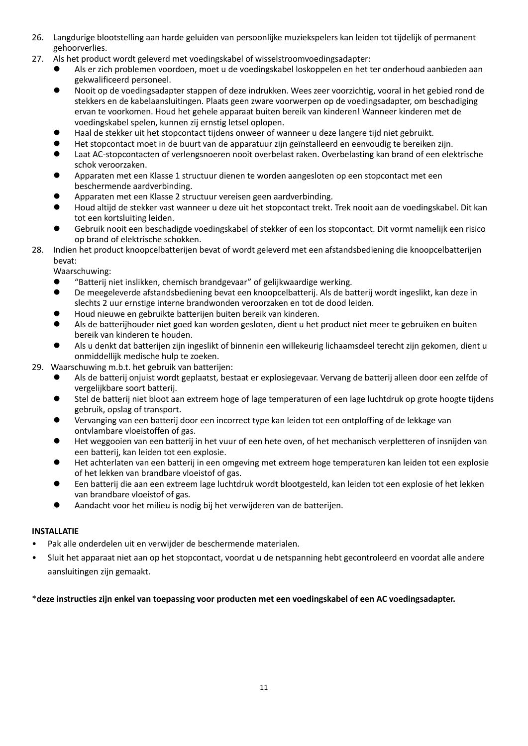- 26. Langdurige blootstelling aan harde geluiden van persoonlijke muziekspelers kan leiden tot tijdelijk of permanent gehoorverlies.
- 27. Als het product wordt geleverd met voedingskabel of wisselstroomvoedingsadapter:
	- ⚫ Als er zich problemen voordoen, moet u de voedingskabel loskoppelen en het ter onderhoud aanbieden aan gekwalificeerd personeel.
	- ⚫ Nooit op de voedingsadapter stappen of deze indrukken. Wees zeer voorzichtig, vooral in het gebied rond de stekkers en de kabelaansluitingen. Plaats geen zware voorwerpen op de voedingsadapter, om beschadiging ervan te voorkomen. Houd het gehele apparaat buiten bereik van kinderen! Wanneer kinderen met de voedingskabel spelen, kunnen zij ernstig letsel oplopen.
	- ⚫ Haal de stekker uit het stopcontact tijdens onweer of wanneer u deze langere tijd niet gebruikt.
	- ⚫ Het stopcontact moet in de buurt van de apparatuur zijn geïnstalleerd en eenvoudig te bereiken zijn.
	- ⚫ Laat AC-stopcontacten of verlengsnoeren nooit overbelast raken. Overbelasting kan brand of een elektrische schok veroorzaken.
	- ⚫ Apparaten met een Klasse 1 structuur dienen te worden aangesloten op een stopcontact met een beschermende aardverbinding.
	- ⚫ Apparaten met een Klasse 2 structuur vereisen geen aardverbinding.
	- ⚫ Houd altijd de stekker vast wanneer u deze uit het stopcontact trekt. Trek nooit aan de voedingskabel. Dit kan tot een kortsluiting leiden.
	- ⚫ Gebruik nooit een beschadigde voedingskabel of stekker of een los stopcontact. Dit vormt namelijk een risico op brand of elektrische schokken.
- 28. Indien het product knoopcelbatterijen bevat of wordt geleverd met een afstandsbediening die knoopcelbatterijen bevat:

Waarschuwing:

- ⚫ "Batterij niet inslikken, chemisch brandgevaar" of gelijkwaardige werking.
- ⚫ De meegeleverde afstandsbediening bevat een knoopcelbatterij. Als de batterij wordt ingeslikt, kan deze in slechts 2 uur ernstige interne brandwonden veroorzaken en tot de dood leiden.
- ⚫ Houd nieuwe en gebruikte batterijen buiten bereik van kinderen.
- ⚫ Als de batterijhouder niet goed kan worden gesloten, dient u het product niet meer te gebruiken en buiten bereik van kinderen te houden.
- ⚫ Als u denkt dat batterijen zijn ingeslikt of binnenin een willekeurig lichaamsdeel terecht zijn gekomen, dient u onmiddellijk medische hulp te zoeken.
- 29. Waarschuwing m.b.t. het gebruik van batterijen:
	- ⚫ Als de batterij onjuist wordt geplaatst, bestaat er explosiegevaar. Vervang de batterij alleen door een zelfde of vergelijkbare soort batterij.
	- ⚫ Stel de batterij niet bloot aan extreem hoge of lage temperaturen of een lage luchtdruk op grote hoogte tijdens gebruik, opslag of transport.
	- ⚫ Vervanging van een batterij door een incorrect type kan leiden tot een ontploffing of de lekkage van ontvlambare vloeistoffen of gas.
	- ⚫ Het weggooien van een batterij in het vuur of een hete oven, of het mechanisch verpletteren of insnijden van een batterij, kan leiden tot een explosie.
	- ⚫ Het achterlaten van een batterij in een omgeving met extreem hoge temperaturen kan leiden tot een explosie of het lekken van brandbare vloeistof of gas.
	- ⚫ Een batterij die aan een extreem lage luchtdruk wordt blootgesteld, kan leiden tot een explosie of het lekken van brandbare vloeistof of gas.
	- ⚫ Aandacht voor het milieu is nodig bij het verwijderen van de batterijen.

#### **INSTALLATIE**

- Pak alle onderdelen uit en verwijder de beschermende materialen.
- Sluit het apparaat niet aan op het stopcontact, voordat u de netspanning hebt gecontroleerd en voordat alle andere aansluitingen zijn gemaakt.

# \***deze instructies zijn enkel van toepassing voor producten met een voedingskabel of een AC voedingsadapter.**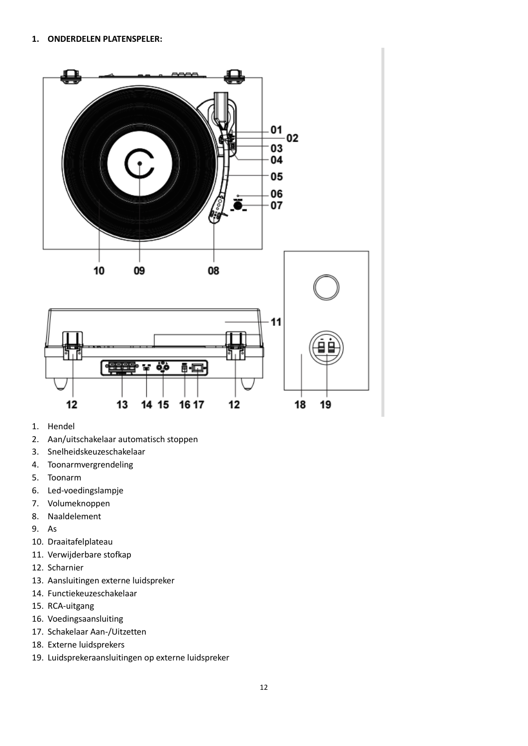

- 1. Hendel
- 2. Aan/uitschakelaar automatisch stoppen
- 3. Snelheidskeuzeschakelaar
- 4. Toonarmvergrendeling
- 5. Toonarm
- 6. Led-voedingslampje
- 7. Volumeknoppen
- 8. Naaldelement
- 9. As
- 10. Draaitafelplateau
- 11. Verwijderbare stofkap
- 12. Scharnier
- 13. Aansluitingen externe luidspreker
- 14. Functiekeuzeschakelaar
- 15. RCA-uitgang
- 16. Voedingsaansluiting
- 17. Schakelaar Aan-/Uitzetten
- 18. Externe luidsprekers
- 19. Luidsprekeraansluitingen op externe luidspreker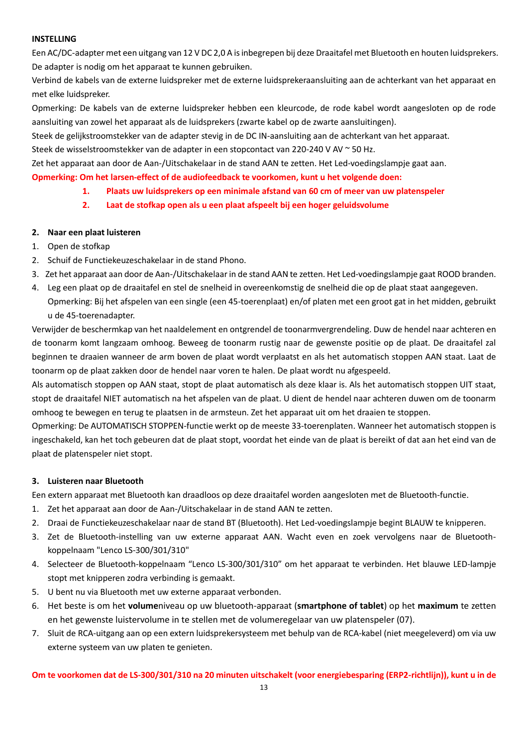#### **INSTELLING**

Een AC/DC-adapter met een uitgang van 12 V DC 2,0 A is inbegrepen bij deze Draaitafel met Bluetooth en houten luidsprekers. De adapter is nodig om het apparaat te kunnen gebruiken.

Verbind de kabels van de externe luidspreker met de externe luidsprekeraansluiting aan de achterkant van het apparaat en met elke luidspreker.

Opmerking: De kabels van de externe luidspreker hebben een kleurcode, de rode kabel wordt aangesloten op de rode aansluiting van zowel het apparaat als de luidsprekers (zwarte kabel op de zwarte aansluitingen).

Steek de gelijkstroomstekker van de adapter stevig in de DC IN-aansluiting aan de achterkant van het apparaat.

Steek de wisselstroomstekker van de adapter in een stopcontact van 220-240 V AV ~ 50 Hz.

Zet het apparaat aan door de Aan-/Uitschakelaar in de stand AAN te zetten. Het Led-voedingslampje gaat aan.

**Opmerking: Om het larsen-effect of de audiofeedback te voorkomen, kunt u het volgende doen:**

- **1. Plaats uw luidsprekers op een minimale afstand van 60 cm of meer van uw platenspeler**
- **2. Laat de stofkap open als u een plaat afspeelt bij een hoger geluidsvolume**

#### **2. Naar een plaat luisteren**

- 1. Open de stofkap
- 2. Schuif de Functiekeuzeschakelaar in de stand Phono.
- 3. Zet het apparaat aan door de Aan-/Uitschakelaar in de stand AAN te zetten. Het Led-voedingslampje gaat ROOD branden.
- 4. Leg een plaat op de draaitafel en stel de snelheid in overeenkomstig de snelheid die op de plaat staat aangegeven. Opmerking: Bij het afspelen van een single (een 45-toerenplaat) en/of platen met een groot gat in het midden, gebruikt u de 45-toerenadapter.

Verwijder de beschermkap van het naaldelement en ontgrendel de toonarmvergrendeling. Duw de hendel naar achteren en de toonarm komt langzaam omhoog. Beweeg de toonarm rustig naar de gewenste positie op de plaat. De draaitafel zal beginnen te draaien wanneer de arm boven de plaat wordt verplaatst en als het automatisch stoppen AAN staat. Laat de toonarm op de plaat zakken door de hendel naar voren te halen. De plaat wordt nu afgespeeld.

Als automatisch stoppen op AAN staat, stopt de plaat automatisch als deze klaar is. Als het automatisch stoppen UIT staat, stopt de draaitafel NIET automatisch na het afspelen van de plaat. U dient de hendel naar achteren duwen om de toonarm omhoog te bewegen en terug te plaatsen in de armsteun. Zet het apparaat uit om het draaien te stoppen.

Opmerking: De AUTOMATISCH STOPPEN-functie werkt op de meeste 33-toerenplaten. Wanneer het automatisch stoppen is ingeschakeld, kan het toch gebeuren dat de plaat stopt, voordat het einde van de plaat is bereikt of dat aan het eind van de plaat de platenspeler niet stopt.

#### **3. Luisteren naar Bluetooth**

Een extern apparaat met Bluetooth kan draadloos op deze draaitafel worden aangesloten met de Bluetooth-functie.

- 1. Zet het apparaat aan door de Aan-/Uitschakelaar in de stand AAN te zetten.
- 2. Draai de Functiekeuzeschakelaar naar de stand BT (Bluetooth). Het Led-voedingslampje begint BLAUW te knipperen.
- 3. Zet de Bluetooth-instelling van uw externe apparaat AAN. Wacht even en zoek vervolgens naar de Bluetoothkoppelnaam "Lenco LS-300/301/310"
- 4. Selecteer de Bluetooth-koppelnaam "Lenco LS-300/301/310" om het apparaat te verbinden. Het blauwe LED-lampje stopt met knipperen zodra verbinding is gemaakt.
- 5. U bent nu via Bluetooth met uw externe apparaat verbonden.
- 6. Het beste is om het **volume**niveau op uw bluetooth-apparaat (**smartphone of tablet**) op het **maximum** te zetten en het gewenste luistervolume in te stellen met de volumeregelaar van uw platenspeler (07).
- 7. Sluit de RCA-uitgang aan op een extern luidsprekersysteem met behulp van de RCA-kabel (niet meegeleverd) om via uw externe systeem van uw platen te genieten.

**Om te voorkomen dat de LS-300/301/310 na 20 minuten uitschakelt (voor energiebesparing (ERP2-richtlijn)), kunt u in de**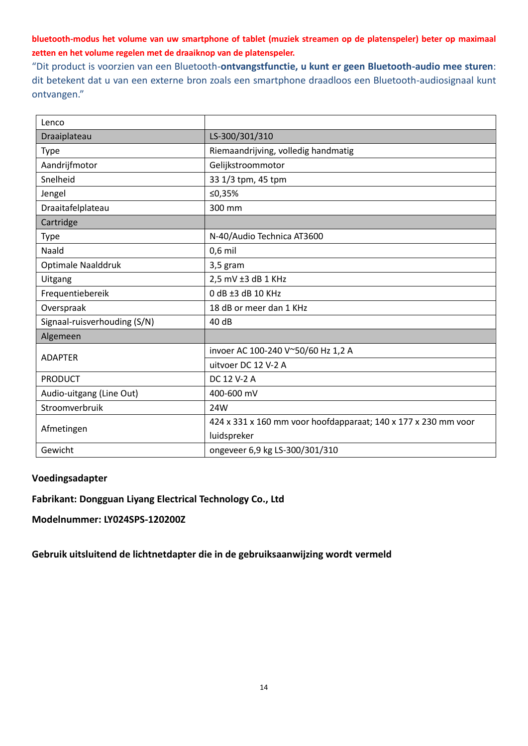**bluetooth-modus het volume van uw smartphone of tablet (muziek streamen op de platenspeler) beter op maximaal zetten en het volume regelen met de draaiknop van de platenspeler.**

"Dit product is voorzien van een Bluetooth-**ontvangstfunctie, u kunt er geen Bluetooth-audio mee sturen**: dit betekent dat u van een externe bron zoals een smartphone draadloos een Bluetooth-audiosignaal kunt ontvangen."

| Lenco                        |                                                                |
|------------------------------|----------------------------------------------------------------|
| Draaiplateau                 | LS-300/301/310                                                 |
| <b>Type</b>                  | Riemaandrijving, volledig handmatig                            |
| Aandrijfmotor                | Gelijkstroommotor                                              |
| Snelheid                     | 33 1/3 tpm, 45 tpm                                             |
| Jengel                       | ≤0,35%                                                         |
| Draaitafelplateau            | 300 mm                                                         |
| Cartridge                    |                                                                |
| <b>Type</b>                  | N-40/Audio Technica AT3600                                     |
| Naald                        | $0,6$ mil                                                      |
| Optimale Naalddruk           | 3,5 gram                                                       |
| Uitgang                      | 2,5 mV ±3 dB 1 KHz                                             |
| Frequentiebereik             | 0 dB ±3 dB 10 KHz                                              |
| Overspraak                   | 18 dB or meer dan 1 KHz                                        |
| Signaal-ruisverhouding (S/N) | 40 dB                                                          |
| Algemeen                     |                                                                |
| <b>ADAPTER</b>               | invoer AC 100-240 V~50/60 Hz 1,2 A                             |
|                              | uitvoer DC 12 V-2 A                                            |
| <b>PRODUCT</b>               | DC 12 V-2 A                                                    |
| Audio-uitgang (Line Out)     | 400-600 mV                                                     |
| Stroomverbruik               | 24W                                                            |
|                              | 424 x 331 x 160 mm voor hoofdapparaat; 140 x 177 x 230 mm voor |
| Afmetingen                   | luidspreker                                                    |
| Gewicht                      | ongeveer 6,9 kg LS-300/301/310                                 |

# **Voedingsadapter**

**Fabrikant: Dongguan Liyang Electrical Technology Co., Ltd**

**Modelnummer: LY024SPS-120200Z**

**Gebruik uitsluitend de lichtnetdapter die in de gebruiksaanwijzing wordt vermeld**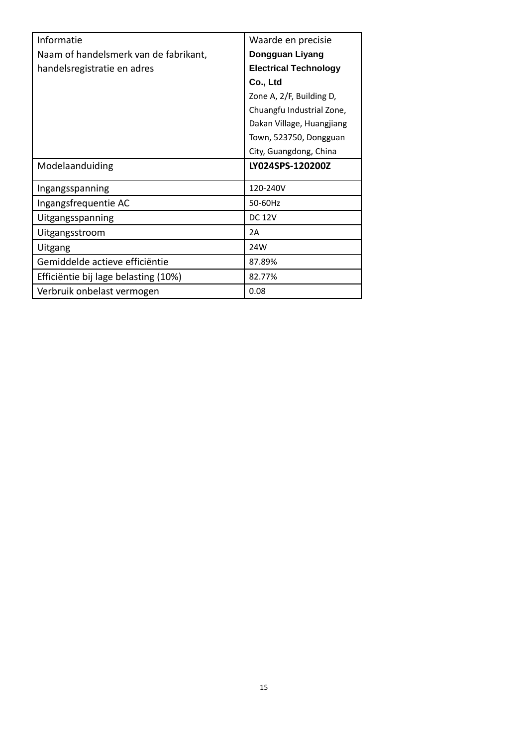| Informatie                            | Waarde en precisie           |
|---------------------------------------|------------------------------|
| Naam of handelsmerk van de fabrikant, | Dongguan Liyang              |
| handelsregistratie en adres           | <b>Electrical Technology</b> |
|                                       | Co., Ltd                     |
|                                       | Zone A, 2/F, Building D,     |
|                                       | Chuangfu Industrial Zone,    |
|                                       | Dakan Village, Huangjiang    |
|                                       | Town, 523750, Dongguan       |
|                                       | City, Guangdong, China       |
| Modelaanduiding                       | LY024SPS-120200Z             |
|                                       | 120-240V                     |
| Ingangsspanning                       |                              |
| Ingangsfrequentie AC                  | 50-60Hz                      |
| Uitgangsspanning                      | <b>DC 12V</b>                |
| Uitgangsstroom                        | 2A                           |
| Uitgang                               | 24W                          |
| Gemiddelde actieve efficiëntie        | 87.89%                       |
| Efficiëntie bij lage belasting (10%)  | 82.77%                       |
| Verbruik onbelast vermogen            | 0.08                         |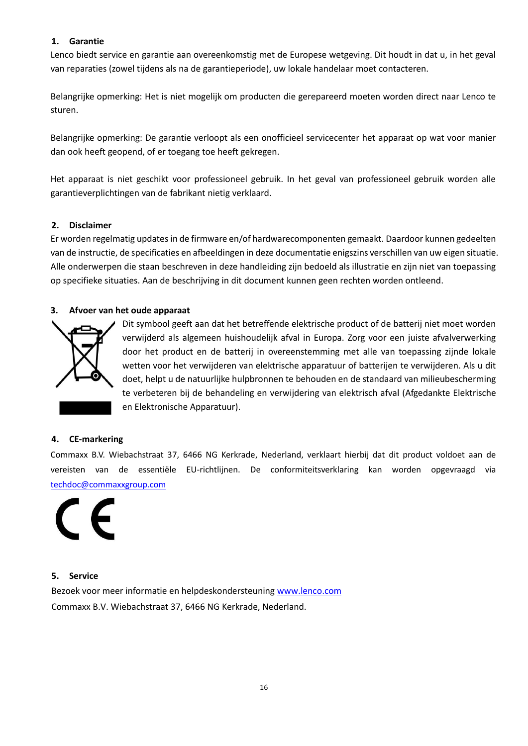# **1. Garantie**

Lenco biedt service en garantie aan overeenkomstig met de Europese wetgeving. Dit houdt in dat u, in het geval van reparaties (zowel tijdens als na de garantieperiode), uw lokale handelaar moet contacteren.

Belangrijke opmerking: Het is niet mogelijk om producten die gerepareerd moeten worden direct naar Lenco te sturen.

Belangrijke opmerking: De garantie verloopt als een onofficieel servicecenter het apparaat op wat voor manier dan ook heeft geopend, of er toegang toe heeft gekregen.

Het apparaat is niet geschikt voor professioneel gebruik. In het geval van professioneel gebruik worden alle garantieverplichtingen van de fabrikant nietig verklaard.

#### **2. Disclaimer**

Er worden regelmatig updates in de firmware en/of hardwarecomponenten gemaakt. Daardoor kunnen gedeelten van de instructie, de specificaties en afbeeldingen in deze documentatie enigszins verschillen van uw eigen situatie. Alle onderwerpen die staan beschreven in deze handleiding zijn bedoeld als illustratie en zijn niet van toepassing op specifieke situaties. Aan de beschrijving in dit document kunnen geen rechten worden ontleend.

#### **3. Afvoer van het oude apparaat**



Dit symbool geeft aan dat het betreffende elektrische product of de batterij niet moet worden verwijderd als algemeen huishoudelijk afval in Europa. Zorg voor een juiste afvalverwerking door het product en de batterij in overeenstemming met alle van toepassing zijnde lokale wetten voor het verwijderen van elektrische apparatuur of batterijen te verwijderen. Als u dit doet, helpt u de natuurlijke hulpbronnen te behouden en de standaard van milieubescherming te verbeteren bij de behandeling en verwijdering van elektrisch afval (Afgedankte Elektrische en Elektronische Apparatuur).

#### **4. CE-markering**

Commaxx B.V. Wiebachstraat 37, 6466 NG Kerkrade, Nederland, verklaart hierbij dat dit product voldoet aan de vereisten van de essentiële EU-richtlijnen. De conformiteitsverklaring kan worden opgevraagd via [techdoc@commaxxgroup.com](mailto:techdoc@commaxxgroup.com)



#### **5. Service**

Bezoek voor meer informatie en helpdeskondersteuning [www.lenco.com](http://www.lenco.com/) Commaxx B.V. Wiebachstraat 37, 6466 NG Kerkrade, Nederland.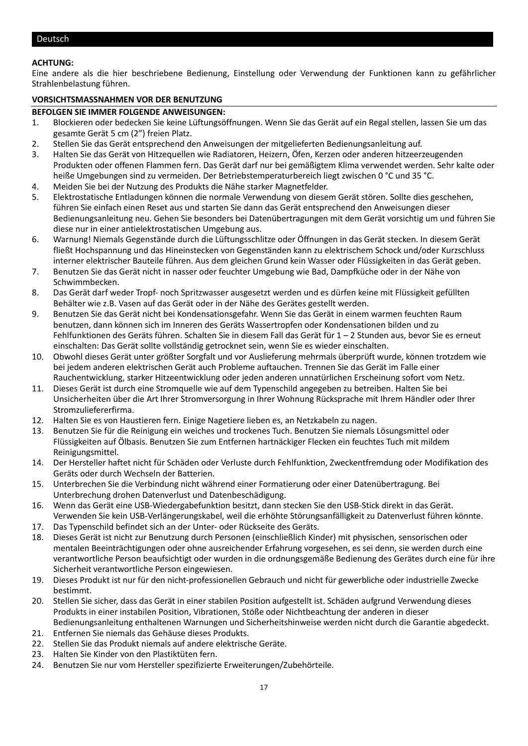#### <span id="page-16-0"></span>**ACHTUNG:**

Eine andere als die hier beschriebene Bedienung, Einstellung oder Verwendung der Funktionen kann zu gefährlicher Strahlenbelastung führen.

#### **VORSICHTSMASSNAHMEN VOR DER BENUTZUNG**

#### **BEFOLGEN SIE IMMER FOLGENDE ANWEISUNGEN:**

- 1. Blockieren oder bedecken Sie keine Lüftungsöffnungen. Wenn Sie das Gerät auf ein Regal stellen, lassen Sie um das gesamte Gerät 5 cm (2") freien Platz.
- 2. Stellen Sie das Gerät entsprechend den Anweisungen der mitgelieferten Bedienungsanleitung auf.
- 3. Halten Sie das Gerät von Hitzequellen wie Radiatoren, Heizern, Öfen, Kerzen oder anderen hitzeerzeugenden Produkten oder offenen Flammen fern. Das Gerät darf nur bei gemäßigtem Klima verwendet werden. Sehr kalte oder heiße Umgebungen sind zu vermeiden. Der Betriebstemperaturbereich liegt zwischen 0 °C und 35 °C.
- 4. Meiden Sie bei der Nutzung des Produkts die Nähe starker Magnetfelder.
- 5. Elektrostatische Entladungen können die normale Verwendung von diesem Gerät stören. Sollte dies geschehen, führen Sie einfach einen Reset aus und starten Sie dann das Gerät entsprechend den Anweisungen dieser Bedienungsanleitung neu. Gehen Sie besonders bei Datenübertragungen mit dem Gerät vorsichtig um und führen Sie diese nur in einer antielektrostatischen Umgebung aus.
- 6. Warnung! Niemals Gegenstände durch die Lüftungsschlitze oder Öffnungen in das Gerät stecken. In diesem Gerät fließt Hochspannung und das Hineinstecken von Gegenständen kann zu elektrischem Schock und/oder Kurzschluss interner elektrischer Bauteile führen. Aus dem gleichen Grund kein Wasser oder Flüssigkeiten in das Gerät geben.
- 7. Benutzen Sie das Gerät nicht in nasser oder feuchter Umgebung wie Bad, Dampfküche oder in der Nähe von Schwimmbecken.
- 8. Das Gerät darf weder Tropf- noch Spritzwasser ausgesetzt werden und es dürfen keine mit Flüssigkeit gefüllten Behälter wie z.B. Vasen auf das Gerät oder in der Nähe des Gerätes gestellt werden.
- 9. Benutzen Sie das Gerät nicht bei Kondensationsgefahr. Wenn Sie das Gerät in einem warmen feuchten Raum benutzen, dann können sich im Inneren des Geräts Wassertropfen oder Kondensationen bilden und zu Fehlfunktionen des Geräts führen. Schalten Sie in diesem Fall das Gerät für 1 – 2 Stunden aus, bevor Sie es erneut einschalten: Das Gerät sollte vollständig getrocknet sein, wenn Sie es wieder einschalten.
- 10. Obwohl dieses Gerät unter größter Sorgfalt und vor Auslieferung mehrmals überprüft wurde, können trotzdem wie bei jedem anderen elektrischen Gerät auch Probleme auftauchen. Trennen Sie das Gerät im Falle einer Rauchentwicklung, starker Hitzeentwicklung oder jeden anderen unnatürlichen Erscheinung sofort vom Netz.
- 11. Dieses Gerät ist durch eine Stromquelle wie auf dem Typenschild angegeben zu betreiben. Halten Sie bei Unsicherheiten über die Art Ihrer Stromversorgung in Ihrer Wohnung Rücksprache mit Ihrem Händler oder Ihrer Stromzuliefererfirma.
- 12. Halten Sie es von Haustieren fern. Einige Nagetiere lieben es, an Netzkabeln zu nagen.
- 13. Benutzen Sie für die Reinigung ein weiches und trockenes Tuch. Benutzen Sie niemals Lösungsmittel oder Flüssigkeiten auf Ölbasis. Benutzen Sie zum Entfernen hartnäckiger Flecken ein feuchtes Tuch mit mildem Reinigungsmittel.
- 14. Der Hersteller haftet nicht für Schäden oder Verluste durch Fehlfunktion, Zweckentfremdung oder Modifikation des Geräts oder durch Wechseln der Batterien.
- 15. Unterbrechen Sie die Verbindung nicht während einer Formatierung oder einer Datenübertragung. Bei Unterbrechung drohen Datenverlust und Datenbeschädigung.
- 16. Wenn das Gerät eine USB-Wiedergabefunktion besitzt, dann stecken Sie den USB-Stick direkt in das Gerät. Verwenden Sie kein USB-Verlängerungskabel, weil die erhöhte Störungsanfälligkeit zu Datenverlust führen könnte.
- 17. Das Typenschild befindet sich an der Unter- oder Rückseite des Geräts.
- 18. Dieses Gerät ist nicht zur Benutzung durch Personen (einschließlich Kinder) mit physischen, sensorischen oder mentalen Beeinträchtigungen oder ohne ausreichender Erfahrung vorgesehen, es sei denn, sie werden durch eine verantwortliche Person beaufsichtigt oder wurden in die ordnungsgemäße Bedienung des Gerätes durch eine für ihre Sicherheit verantwortliche Person eingewiesen.
- 19. Dieses Produkt ist nur für den nicht-professionellen Gebrauch und nicht für gewerbliche oder industrielle Zwecke bestimmt.
- 20. Stellen Sie sicher, dass das Gerät in einer stabilen Position aufgestellt ist. Schäden aufgrund Verwendung dieses Produkts in einer instabilen Position, Vibrationen, Stöße oder Nichtbeachtung der anderen in dieser Bedienungsanleitung enthaltenen Warnungen und Sicherheitshinweise werden nicht durch die Garantie abgedeckt.
- 21. Entfernen Sie niemals das Gehäuse dieses Produkts.
- 22. Stellen Sie das Produkt niemals auf andere elektrische Geräte.
- 23. Halten Sie Kinder von den Plastiktüten fern.
- 24. Benutzen Sie nur vom Hersteller spezifizierte Erweiterungen/Zubehörteile.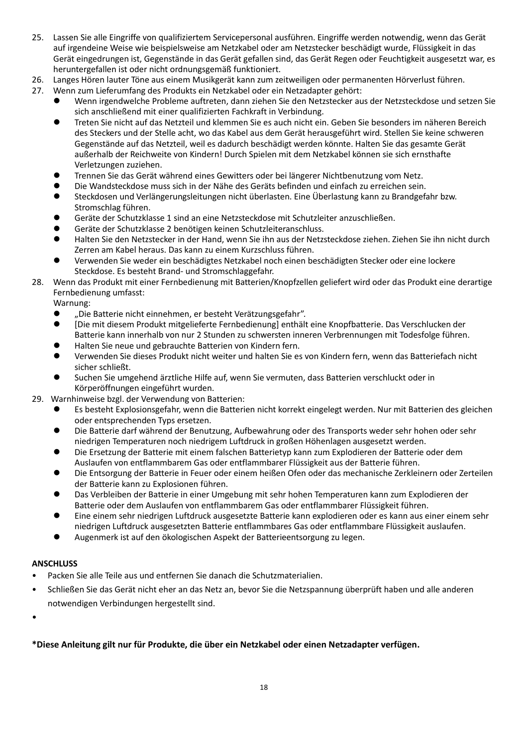- 25. Lassen Sie alle Eingriffe von qualifiziertem Servicepersonal ausführen. Eingriffe werden notwendig, wenn das Gerät auf irgendeine Weise wie beispielsweise am Netzkabel oder am Netzstecker beschädigt wurde, Flüssigkeit in das Gerät eingedrungen ist, Gegenstände in das Gerät gefallen sind, das Gerät Regen oder Feuchtigkeit ausgesetzt war, es heruntergefallen ist oder nicht ordnungsgemäß funktioniert.
- 26. Langes Hören lauter Töne aus einem Musikgerät kann zum zeitweiligen oder permanenten Hörverlust führen.
- 27. Wenn zum Lieferumfang des Produkts ein Netzkabel oder ein Netzadapter gehört:
	- ⚫ Wenn irgendwelche Probleme auftreten, dann ziehen Sie den Netzstecker aus der Netzsteckdose und setzen Sie sich anschließend mit einer qualifizierten Fachkraft in Verbindung.
	- ⚫ Treten Sie nicht auf das Netzteil und klemmen Sie es auch nicht ein. Geben Sie besonders im näheren Bereich des Steckers und der Stelle acht, wo das Kabel aus dem Gerät herausgeführt wird. Stellen Sie keine schweren Gegenstände auf das Netzteil, weil es dadurch beschädigt werden könnte. Halten Sie das gesamte Gerät außerhalb der Reichweite von Kindern! Durch Spielen mit dem Netzkabel können sie sich ernsthafte Verletzungen zuziehen.
	- ⚫ Trennen Sie das Gerät während eines Gewitters oder bei längerer Nichtbenutzung vom Netz.
	- ⚫ Die Wandsteckdose muss sich in der Nähe des Geräts befinden und einfach zu erreichen sein.
	- ⚫ Steckdosen und Verlängerungsleitungen nicht überlasten. Eine Überlastung kann zu Brandgefahr bzw. Stromschlag führen.
	- ⚫ Geräte der Schutzklasse 1 sind an eine Netzsteckdose mit Schutzleiter anzuschließen.
	- ⚫ Geräte der Schutzklasse 2 benötigen keinen Schutzleiteranschluss.
	- ⚫ Halten Sie den Netzstecker in der Hand, wenn Sie ihn aus der Netzsteckdose ziehen. Ziehen Sie ihn nicht durch Zerren am Kabel heraus. Das kann zu einem Kurzschluss führen.
	- ⚫ Verwenden Sie weder ein beschädigtes Netzkabel noch einen beschädigten Stecker oder eine lockere Steckdose. Es besteht Brand- und Stromschlaggefahr.
- 28. Wenn das Produkt mit einer Fernbedienung mit Batterien/Knopfzellen geliefert wird oder das Produkt eine derartige Fernbedienung umfasst:

Warnung:

- "Die Batterie nicht einnehmen, er besteht Verätzungsgefahr".
- ⚫ [Die mit diesem Produkt mitgelieferte Fernbedienung] enthält eine Knopfbatterie. Das Verschlucken der Batterie kann innerhalb von nur 2 Stunden zu schwersten inneren Verbrennungen mit Todesfolge führen.
- ⚫ Halten Sie neue und gebrauchte Batterien von Kindern fern.
- ⚫ Verwenden Sie dieses Produkt nicht weiter und halten Sie es von Kindern fern, wenn das Batteriefach nicht sicher schließt.
- ⚫ Suchen Sie umgehend ärztliche Hilfe auf, wenn Sie vermuten, dass Batterien verschluckt oder in Körperöffnungen eingeführt wurden.
- 29. Warnhinweise bzgl. der Verwendung von Batterien:
	- ⚫ Es besteht Explosionsgefahr, wenn die Batterien nicht korrekt eingelegt werden. Nur mit Batterien des gleichen oder entsprechenden Typs ersetzen.
	- ⚫ Die Batterie darf während der Benutzung, Aufbewahrung oder des Transports weder sehr hohen oder sehr niedrigen Temperaturen noch niedrigem Luftdruck in großen Höhenlagen ausgesetzt werden.
	- ⚫ Die Ersetzung der Batterie mit einem falschen Batterietyp kann zum Explodieren der Batterie oder dem Auslaufen von entflammbarem Gas oder entflammbarer Flüssigkeit aus der Batterie führen.
	- ⚫ Die Entsorgung der Batterie in Feuer oder einem heißen Ofen oder das mechanische Zerkleinern oder Zerteilen der Batterie kann zu Explosionen führen.
	- ⚫ Das Verbleiben der Batterie in einer Umgebung mit sehr hohen Temperaturen kann zum Explodieren der Batterie oder dem Auslaufen von entflammbarem Gas oder entflammbarer Flüssigkeit führen.
	- ⚫ Eine einem sehr niedrigen Luftdruck ausgesetzte Batterie kann explodieren oder es kann aus einer einem sehr niedrigen Luftdruck ausgesetzten Batterie entflammbares Gas oder entflammbare Flüssigkeit auslaufen.
	- ⚫ Augenmerk ist auf den ökologischen Aspekt der Batterieentsorgung zu legen.

#### **ANSCHLUSS**

- Packen Sie alle Teile aus und entfernen Sie danach die Schutzmaterialien.
- Schließen Sie das Gerät nicht eher an das Netz an, bevor Sie die Netzspannung überprüft haben und alle anderen notwendigen Verbindungen hergestellt sind.

•

# **\*Diese Anleitung gilt nur für Produkte, die über ein Netzkabel oder einen Netzadapter verfügen.**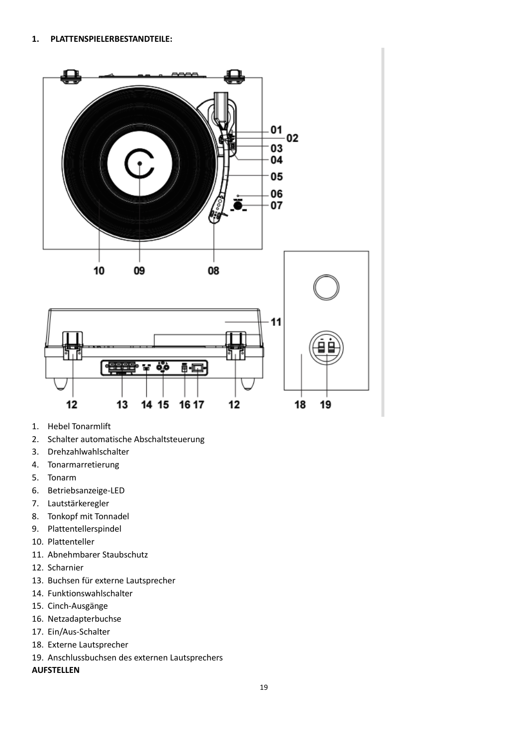

- 1. Hebel Tonarmlift
- 2. Schalter automatische Abschaltsteuerung
- 3. Drehzahlwahlschalter
- 4. Tonarmarretierung
- 5. Tonarm
- 6. Betriebsanzeige-LED
- 7. Lautstärkeregler
- 8. Tonkopf mit Tonnadel
- 9. Plattentellerspindel
- 10. Plattenteller
- 11. Abnehmbarer Staubschutz
- 12. Scharnier
- 13. Buchsen für externe Lautsprecher
- 14. Funktionswahlschalter
- 15. Cinch-Ausgänge
- 16. Netzadapterbuchse
- 17. Ein/Aus-Schalter
- 18. Externe Lautsprecher
- 19. Anschlussbuchsen des externen Lautsprechers
- **AUFSTELLEN**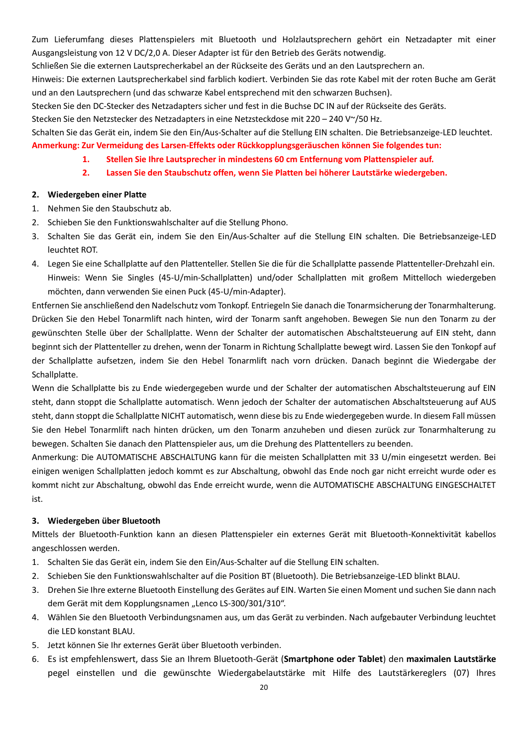Zum Lieferumfang dieses Plattenspielers mit Bluetooth und Holzlautsprechern gehört ein Netzadapter mit einer Ausgangsleistung von 12 V DC/2,0 A. Dieser Adapter ist für den Betrieb des Geräts notwendig.

Schließen Sie die externen Lautsprecherkabel an der Rückseite des Geräts und an den Lautsprechern an.

Hinweis: Die externen Lautsprecherkabel sind farblich kodiert. Verbinden Sie das rote Kabel mit der roten Buche am Gerät und an den Lautsprechern (und das schwarze Kabel entsprechend mit den schwarzen Buchsen).

Stecken Sie den DC-Stecker des Netzadapters sicher und fest in die Buchse DC IN auf der Rückseite des Geräts.

Stecken Sie den Netzstecker des Netzadapters in eine Netzsteckdose mit 220 – 240 V~/50 Hz.

Schalten Sie das Gerät ein, indem Sie den Ein/Aus-Schalter auf die Stellung EIN schalten. Die Betriebsanzeige-LED leuchtet. **Anmerkung: Zur Vermeidung des Larsen-Effekts oder Rückkopplungsgeräuschen können Sie folgendes tun:**

- **1. Stellen Sie Ihre Lautsprecher in mindestens 60 cm Entfernung vom Plattenspieler auf.**
- **2. Lassen Sie den Staubschutz offen, wenn Sie Platten bei höherer Lautstärke wiedergeben.**

#### **2. Wiedergeben einer Platte**

- 1. Nehmen Sie den Staubschutz ab.
- 2. Schieben Sie den Funktionswahlschalter auf die Stellung Phono.
- 3. Schalten Sie das Gerät ein, indem Sie den Ein/Aus-Schalter auf die Stellung EIN schalten. Die Betriebsanzeige-LED leuchtet ROT.
- 4. Legen Sie eine Schallplatte auf den Plattenteller. Stellen Sie die für die Schallplatte passende Plattenteller-Drehzahl ein. Hinweis: Wenn Sie Singles (45-U/min-Schallplatten) und/oder Schallplatten mit großem Mittelloch wiedergeben möchten, dann verwenden Sie einen Puck (45-U/min-Adapter).

Entfernen Sie anschließend den Nadelschutz vom Tonkopf. Entriegeln Sie danach die Tonarmsicherung der Tonarmhalterung. Drücken Sie den Hebel Tonarmlift nach hinten, wird der Tonarm sanft angehoben. Bewegen Sie nun den Tonarm zu der gewünschten Stelle über der Schallplatte. Wenn der Schalter der automatischen Abschaltsteuerung auf EIN steht, dann beginnt sich der Plattenteller zu drehen, wenn der Tonarm in Richtung Schallplatte bewegt wird. Lassen Sie den Tonkopf auf der Schallplatte aufsetzen, indem Sie den Hebel Tonarmlift nach vorn drücken. Danach beginnt die Wiedergabe der Schallplatte.

Wenn die Schallplatte bis zu Ende wiedergegeben wurde und der Schalter der automatischen Abschaltsteuerung auf EIN steht, dann stoppt die Schallplatte automatisch. Wenn jedoch der Schalter der automatischen Abschaltsteuerung auf AUS steht, dann stoppt die Schallplatte NICHT automatisch, wenn diese bis zu Ende wiedergegeben wurde. In diesem Fall müssen Sie den Hebel Tonarmlift nach hinten drücken, um den Tonarm anzuheben und diesen zurück zur Tonarmhalterung zu bewegen. Schalten Sie danach den Plattenspieler aus, um die Drehung des Plattentellers zu beenden.

Anmerkung: Die AUTOMATISCHE ABSCHALTUNG kann für die meisten Schallplatten mit 33 U/min eingesetzt werden. Bei einigen wenigen Schallplatten jedoch kommt es zur Abschaltung, obwohl das Ende noch gar nicht erreicht wurde oder es kommt nicht zur Abschaltung, obwohl das Ende erreicht wurde, wenn die AUTOMATISCHE ABSCHALTUNG EINGESCHALTET ist.

# **3. Wiedergeben über Bluetooth**

Mittels der Bluetooth-Funktion kann an diesen Plattenspieler ein externes Gerät mit Bluetooth-Konnektivität kabellos angeschlossen werden.

- 1. Schalten Sie das Gerät ein, indem Sie den Ein/Aus-Schalter auf die Stellung EIN schalten.
- 2. Schieben Sie den Funktionswahlschalter auf die Position BT (Bluetooth). Die Betriebsanzeige-LED blinkt BLAU.
- 3. Drehen Sie Ihre externe Bluetooth Einstellung des Gerätes auf EIN. Warten Sie einen Moment und suchen Sie dann nach dem Gerät mit dem Kopplungsnamen "Lenco LS-300/301/310".
- 4. Wählen Sie den Bluetooth Verbindungsnamen aus, um das Gerät zu verbinden. Nach aufgebauter Verbindung leuchtet die LED konstant BLAU.
- 5. Jetzt können Sie Ihr externes Gerät über Bluetooth verbinden.
- 6. Es ist empfehlenswert, dass Sie an Ihrem Bluetooth-Gerät (**Smartphone oder Tablet**) den **maximalen Lautstärke** pegel einstellen und die gewünschte Wiedergabelautstärke mit Hilfe des Lautstärkereglers (07) Ihres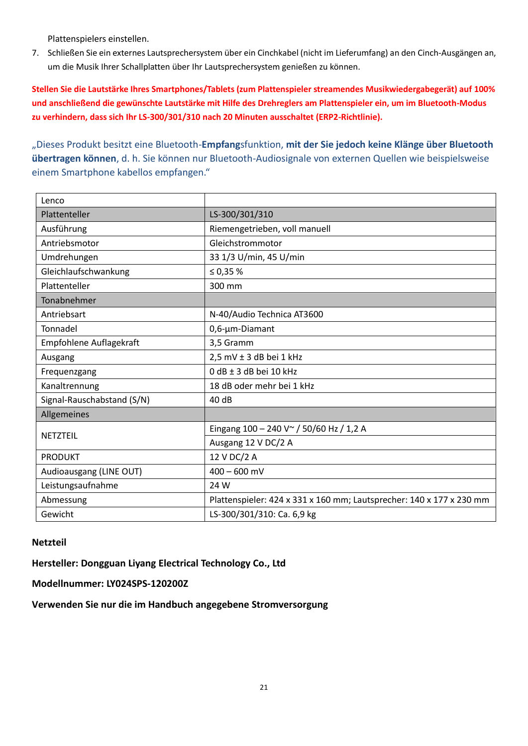Plattenspielers einstellen.

7. Schließen Sie ein externes Lautsprechersystem über ein Cinchkabel (nicht im Lieferumfang) an den Cinch-Ausgängen an, um die Musik Ihrer Schallplatten über Ihr Lautsprechersystem genießen zu können.

**Stellen Sie die Lautstärke Ihres Smartphones/Tablets (zum Plattenspieler streamendes Musikwiedergabegerät) auf 100% und anschließend die gewünschte Lautstärke mit Hilfe des Drehreglers am Plattenspieler ein, um im Bluetooth-Modus zu verhindern, dass sich Ihr LS-300/301/310 nach 20 Minuten ausschaltet (ERP2-Richtlinie).**

"Dieses Produkt besitzt eine Bluetooth-**Empfang**sfunktion, **mit der Sie jedoch keine Klänge über Bluetooth übertragen können**, d. h. Sie können nur Bluetooth-Audiosignale von externen Quellen wie beispielsweise einem Smartphone kabellos empfangen."

| Lenco                      |                                                                      |
|----------------------------|----------------------------------------------------------------------|
| Plattenteller              | LS-300/301/310                                                       |
| Ausführung                 | Riemengetrieben, voll manuell                                        |
| Antriebsmotor              | Gleichstrommotor                                                     |
| Umdrehungen                | 33 1/3 U/min, 45 U/min                                               |
| Gleichlaufschwankung       | ≤ 0,35 $%$                                                           |
| Plattenteller              | 300 mm                                                               |
| Tonabnehmer                |                                                                      |
| Antriebsart                | N-40/Audio Technica AT3600                                           |
| Tonnadel                   | 0,6-µm-Diamant                                                       |
| Empfohlene Auflagekraft    | 3,5 Gramm                                                            |
| Ausgang                    | 2,5 mV ± 3 dB bei 1 kHz                                              |
| Frequenzgang               | 0 dB ± 3 dB bei 10 kHz                                               |
| Kanaltrennung              | 18 dB oder mehr bei 1 kHz                                            |
| Signal-Rauschabstand (S/N) | 40 dB                                                                |
| Allgemeines                |                                                                      |
| NETZTEIL                   | Eingang 100 - 240 V ~ / 50/60 Hz / 1,2 A                             |
|                            | Ausgang 12 V DC/2 A                                                  |
| <b>PRODUKT</b>             | 12 V DC/2 A                                                          |
| Audioausgang (LINE OUT)    | $400 - 600$ mV                                                       |
| Leistungsaufnahme          | 24 W                                                                 |
| Abmessung                  | Plattenspieler: 424 x 331 x 160 mm; Lautsprecher: 140 x 177 x 230 mm |
| Gewicht                    | LS-300/301/310: Ca. 6,9 kg                                           |

# **Netzteil**

**Hersteller: Dongguan Liyang Electrical Technology Co., Ltd**

**Modellnummer: LY024SPS-120200Z**

**Verwenden Sie nur die im Handbuch angegebene Stromversorgung**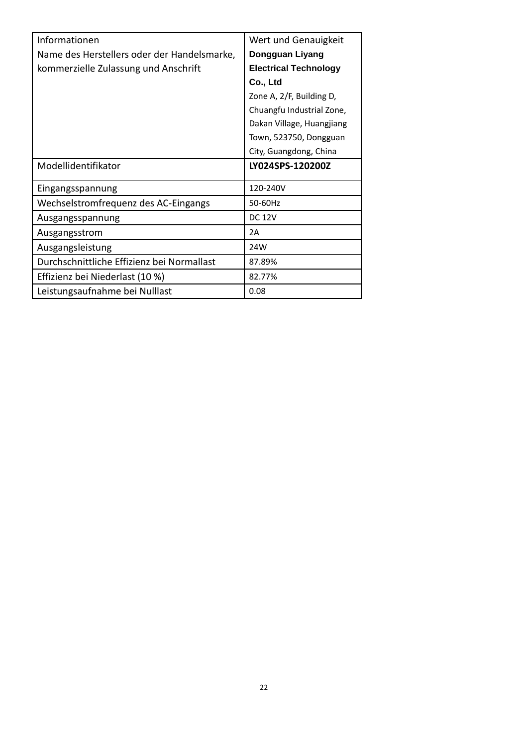| Informationen                               | Wert und Genauigkeit         |
|---------------------------------------------|------------------------------|
| Name des Herstellers oder der Handelsmarke, | Dongguan Liyang              |
| kommerzielle Zulassung und Anschrift        | <b>Electrical Technology</b> |
|                                             | Co., Ltd                     |
|                                             | Zone A, 2/F, Building D,     |
|                                             | Chuangfu Industrial Zone,    |
|                                             | Dakan Village, Huangjiang    |
|                                             | Town, 523750, Dongguan       |
|                                             | City, Guangdong, China       |
| Modellidentifikator                         | LY024SPS-120200Z             |
| Eingangsspannung                            | 120-240V                     |
| Wechselstromfrequenz des AC-Eingangs        | 50-60Hz                      |
| Ausgangsspannung                            | <b>DC 12V</b>                |
| Ausgangsstrom                               | 2A                           |
|                                             |                              |
| Ausgangsleistung                            | 24W                          |
| Durchschnittliche Effizienz bei Normallast  | 87.89%                       |
| Effizienz bei Niederlast (10 %)             | 82.77%                       |
| Leistungsaufnahme bei Nulllast              | 0.08                         |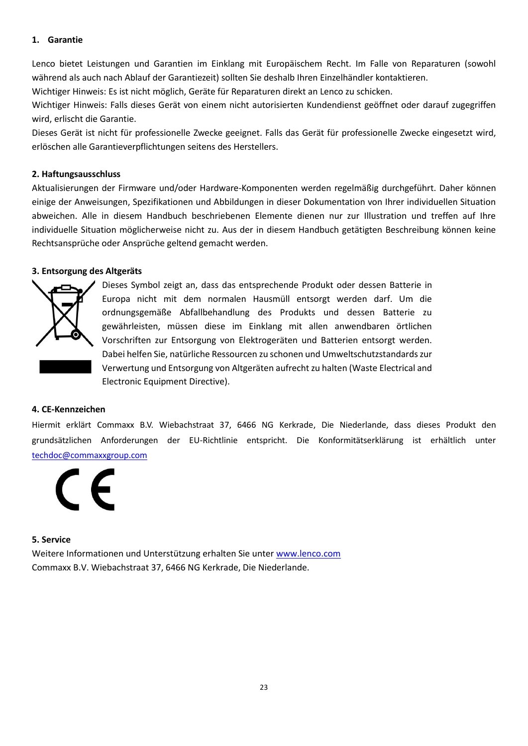#### **1. Garantie**

Lenco bietet Leistungen und Garantien im Einklang mit Europäischem Recht. Im Falle von Reparaturen (sowohl während als auch nach Ablauf der Garantiezeit) sollten Sie deshalb Ihren Einzelhändler kontaktieren.

Wichtiger Hinweis: Es ist nicht möglich, Geräte für Reparaturen direkt an Lenco zu schicken.

Wichtiger Hinweis: Falls dieses Gerät von einem nicht autorisierten Kundendienst geöffnet oder darauf zugegriffen wird, erlischt die Garantie.

Dieses Gerät ist nicht für professionelle Zwecke geeignet. Falls das Gerät für professionelle Zwecke eingesetzt wird, erlöschen alle Garantieverpflichtungen seitens des Herstellers.

#### **2. Haftungsausschluss**

Aktualisierungen der Firmware und/oder Hardware-Komponenten werden regelmäßig durchgeführt. Daher können einige der Anweisungen, Spezifikationen und Abbildungen in dieser Dokumentation von Ihrer individuellen Situation abweichen. Alle in diesem Handbuch beschriebenen Elemente dienen nur zur Illustration und treffen auf Ihre individuelle Situation möglicherweise nicht zu. Aus der in diesem Handbuch getätigten Beschreibung können keine Rechtsansprüche oder Ansprüche geltend gemacht werden.

#### **3. Entsorgung des Altgeräts**



Dieses Symbol zeigt an, dass das entsprechende Produkt oder dessen Batterie in Europa nicht mit dem normalen Hausmüll entsorgt werden darf. Um die ordnungsgemäße Abfallbehandlung des Produkts und dessen Batterie zu gewährleisten, müssen diese im Einklang mit allen anwendbaren örtlichen Vorschriften zur Entsorgung von Elektrogeräten und Batterien entsorgt werden. Dabei helfen Sie, natürliche Ressourcen zu schonen und Umweltschutzstandards zur Verwertung und Entsorgung von Altgeräten aufrecht zu halten (Waste Electrical and Electronic Equipment Directive).

#### **4. CE-Kennzeichen**

Hiermit erklärt Commaxx B.V. Wiebachstraat 37, 6466 NG Kerkrade, Die Niederlande, dass dieses Produkt den grundsätzlichen Anforderungen der EU-Richtlinie entspricht. Die Konformitätserklärung ist erhältlich unter [techdoc@commaxxgroup.com](mailto:techdoc@commaxxgroup.com)



#### **5. Service**

Weitere Informationen und Unterstützung erhalten Sie unte[r www.lenco.com](http://www.lenco.com/) Commaxx B.V. Wiebachstraat 37, 6466 NG Kerkrade, Die Niederlande.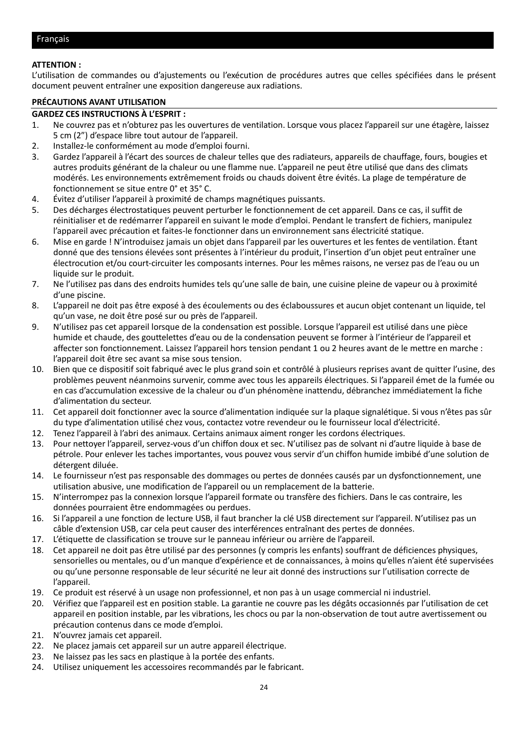#### <span id="page-23-0"></span>**ATTENTION :**

L'utilisation de commandes ou d'ajustements ou l'exécution de procédures autres que celles spécifiées dans le présent document peuvent entraîner une exposition dangereuse aux radiations.

#### **PRÉCAUTIONS AVANT UTILISATION**

#### **GARDEZ CES INSTRUCTIONS À L'ESPRIT :**

- 1. Ne couvrez pas et n'obturez pas les ouvertures de ventilation. Lorsque vous placez l'appareil sur une étagère, laissez 5 cm (2") d'espace libre tout autour de l'appareil.
- 2. Installez-le conformément au mode d'emploi fourni.
- 3. Gardez l'appareil à l'écart des sources de chaleur telles que des radiateurs, appareils de chauffage, fours, bougies et autres produits générant de la chaleur ou une flamme nue. L'appareil ne peut être utilisé que dans des climats modérés. Les environnements extrêmement froids ou chauds doivent être évités. La plage de température de fonctionnement se situe entre 0° et 35° C.
- 4. Évitez d'utiliser l'appareil à proximité de champs magnétiques puissants.
- 5. Des décharges électrostatiques peuvent perturber le fonctionnement de cet appareil. Dans ce cas, il suffit de réinitialiser et de redémarrer l'appareil en suivant le mode d'emploi. Pendant le transfert de fichiers, manipulez l'appareil avec précaution et faites-le fonctionner dans un environnement sans électricité statique.
- 6. Mise en garde ! N'introduisez jamais un objet dans l'appareil par les ouvertures et les fentes de ventilation. Étant donné que des tensions élevées sont présentes à l'intérieur du produit, l'insertion d'un objet peut entraîner une électrocution et/ou court-circuiter les composants internes. Pour les mêmes raisons, ne versez pas de l'eau ou un liquide sur le produit.
- 7. Ne l'utilisez pas dans des endroits humides tels qu'une salle de bain, une cuisine pleine de vapeur ou à proximité d'une piscine.
- 8. L'appareil ne doit pas être exposé à des écoulements ou des éclaboussures et aucun objet contenant un liquide, tel qu'un vase, ne doit être posé sur ou près de l'appareil.
- 9. N'utilisez pas cet appareil lorsque de la condensation est possible. Lorsque l'appareil est utilisé dans une pièce humide et chaude, des gouttelettes d'eau ou de la condensation peuvent se former à l'intérieur de l'appareil et affecter son fonctionnement. Laissez l'appareil hors tension pendant 1 ou 2 heures avant de le mettre en marche : l'appareil doit être sec avant sa mise sous tension.
- 10. Bien que ce dispositif soit fabriqué avec le plus grand soin et contrôlé à plusieurs reprises avant de quitter l'usine, des problèmes peuvent néanmoins survenir, comme avec tous les appareils électriques. Si l'appareil émet de la fumée ou en cas d'accumulation excessive de la chaleur ou d'un phénomène inattendu, débranchez immédiatement la fiche d'alimentation du secteur.
- 11. Cet appareil doit fonctionner avec la source d'alimentation indiquée sur la plaque signalétique. Si vous n'êtes pas sûr du type d'alimentation utilisé chez vous, contactez votre revendeur ou le fournisseur local d'électricité.
- 12. Tenez l'appareil à l'abri des animaux. Certains animaux aiment ronger les cordons électriques.
- 13. Pour nettoyer l'appareil, servez-vous d'un chiffon doux et sec. N'utilisez pas de solvant ni d'autre liquide à base de pétrole. Pour enlever les taches importantes, vous pouvez vous servir d'un chiffon humide imbibé d'une solution de détergent diluée.
- 14. Le fournisseur n'est pas responsable des dommages ou pertes de données causés par un dysfonctionnement, une utilisation abusive, une modification de l'appareil ou un remplacement de la batterie.
- 15. N'interrompez pas la connexion lorsque l'appareil formate ou transfère des fichiers. Dans le cas contraire, les données pourraient être endommagées ou perdues.
- 16. Si l'appareil a une fonction de lecture USB, il faut brancher la clé USB directement sur l'appareil. N'utilisez pas un câble d'extension USB, car cela peut causer des interférences entraînant des pertes de données.
- 17. L'étiquette de classification se trouve sur le panneau inférieur ou arrière de l'appareil.
- 18. Cet appareil ne doit pas être utilisé par des personnes (y compris les enfants) souffrant de déficiences physiques, sensorielles ou mentales, ou d'un manque d'expérience et de connaissances, à moins qu'elles n'aient été supervisées ou qu'une personne responsable de leur sécurité ne leur ait donné des instructions sur l'utilisation correcte de l'appareil.
- 19. Ce produit est réservé à un usage non professionnel, et non pas à un usage commercial ni industriel.
- 20. Vérifiez que l'appareil est en position stable. La garantie ne couvre pas les dégâts occasionnés par l'utilisation de cet appareil en position instable, par les vibrations, les chocs ou par la non-observation de tout autre avertissement ou précaution contenus dans ce mode d'emploi.
- 21. N'ouvrez jamais cet appareil.
- 22. Ne placez jamais cet appareil sur un autre appareil électrique.
- 23. Ne laissez pas les sacs en plastique à la portée des enfants.
- 24. Utilisez uniquement les accessoires recommandés par le fabricant.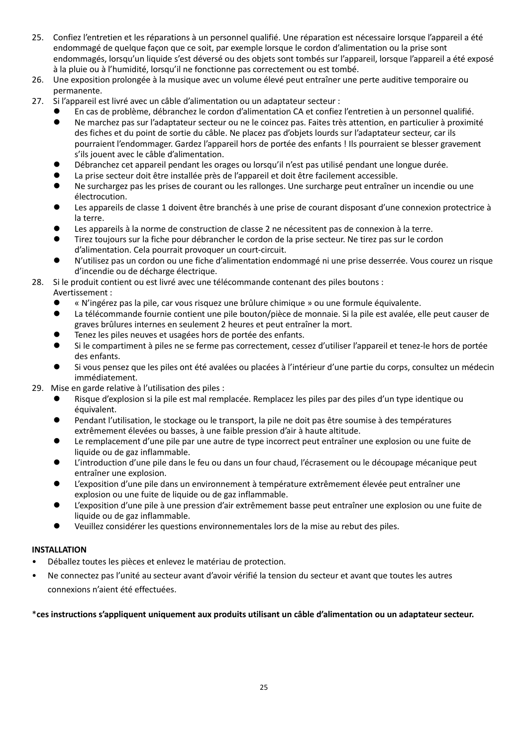- 25. Confiez l'entretien et les réparations à un personnel qualifié. Une réparation est nécessaire lorsque l'appareil a été endommagé de quelque façon que ce soit, par exemple lorsque le cordon d'alimentation ou la prise sont endommagés, lorsqu'un liquide s'est déversé ou des objets sont tombés sur l'appareil, lorsque l'appareil a été exposé à la pluie ou à l'humidité, lorsqu'il ne fonctionne pas correctement ou est tombé.
- 26. Une exposition prolongée à la musique avec un volume élevé peut entraîner une perte auditive temporaire ou permanente.
- 27. Si l'appareil est livré avec un câble d'alimentation ou un adaptateur secteur :
	- ⚫ En cas de problème, débranchez le cordon d'alimentation CA et confiez l'entretien à un personnel qualifié.
	- ⚫ Ne marchez pas sur l'adaptateur secteur ou ne le coincez pas. Faites très attention, en particulier à proximité des fiches et du point de sortie du câble. Ne placez pas d'objets lourds sur l'adaptateur secteur, car ils pourraient l'endommager. Gardez l'appareil hors de portée des enfants ! Ils pourraient se blesser gravement s'ils jouent avec le câble d'alimentation.
	- ⚫ Débranchez cet appareil pendant les orages ou lorsqu'il n'est pas utilisé pendant une longue durée.
	- ⚫ La prise secteur doit être installée près de l'appareil et doit être facilement accessible.
	- ⚫ Ne surchargez pas les prises de courant ou les rallonges. Une surcharge peut entraîner un incendie ou une électrocution.
	- Les appareils de classe 1 doivent être branchés à une prise de courant disposant d'une connexion protectrice à la terre.
	- ⚫ Les appareils à la norme de construction de classe 2 ne nécessitent pas de connexion à la terre.
	- ⚫ Tirez toujours sur la fiche pour débrancher le cordon de la prise secteur. Ne tirez pas sur le cordon d'alimentation. Cela pourrait provoquer un court-circuit.
	- ⚫ N'utilisez pas un cordon ou une fiche d'alimentation endommagé ni une prise desserrée. Vous courez un risque d'incendie ou de décharge électrique.
- 28. Si le produit contient ou est livré avec une télécommande contenant des piles boutons :

#### Avertissement :

- ⚫ « N'ingérez pas la pile, car vous risquez une brûlure chimique » ou une formule équivalente.
- ⚫ La télécommande fournie contient une pile bouton/pièce de monnaie. Si la pile est avalée, elle peut causer de graves brûlures internes en seulement 2 heures et peut entraîner la mort.
- ⚫ Tenez les piles neuves et usagées hors de portée des enfants.
- Si le compartiment à piles ne se ferme pas correctement, cessez d'utiliser l'appareil et tenez-le hors de portée des enfants.
- ⚫ Si vous pensez que les piles ont été avalées ou placées à l'intérieur d'une partie du corps, consultez un médecin immédiatement.
- 29. Mise en garde relative à l'utilisation des piles :
	- Risque d'explosion si la pile est mal remplacée. Remplacez les piles par des piles d'un type identique ou équivalent.
	- ⚫ Pendant l'utilisation, le stockage ou le transport, la pile ne doit pas être soumise à des températures extrêmement élevées ou basses, à une faible pression d'air à haute altitude.
	- Le remplacement d'une pile par une autre de type incorrect peut entraîner une explosion ou une fuite de liquide ou de gaz inflammable.
	- ⚫ L'introduction d'une pile dans le feu ou dans un four chaud, l'écrasement ou le découpage mécanique peut entraîner une explosion.
	- ⚫ L'exposition d'une pile dans un environnement à température extrêmement élevée peut entraîner une explosion ou une fuite de liquide ou de gaz inflammable.
	- ⚫ L'exposition d'une pile à une pression d'air extrêmement basse peut entraîner une explosion ou une fuite de liquide ou de gaz inflammable.
	- ⚫ Veuillez considérer les questions environnementales lors de la mise au rebut des piles.

#### **INSTALLATION**

- Déballez toutes les pièces et enlevez le matériau de protection.
- Ne connectez pas l'unité au secteur avant d'avoir vérifié la tension du secteur et avant que toutes les autres connexions n'aient été effectuées.

#### \***ces instructions s'appliquent uniquement aux produits utilisant un câble d'alimentation ou un adaptateur secteur.**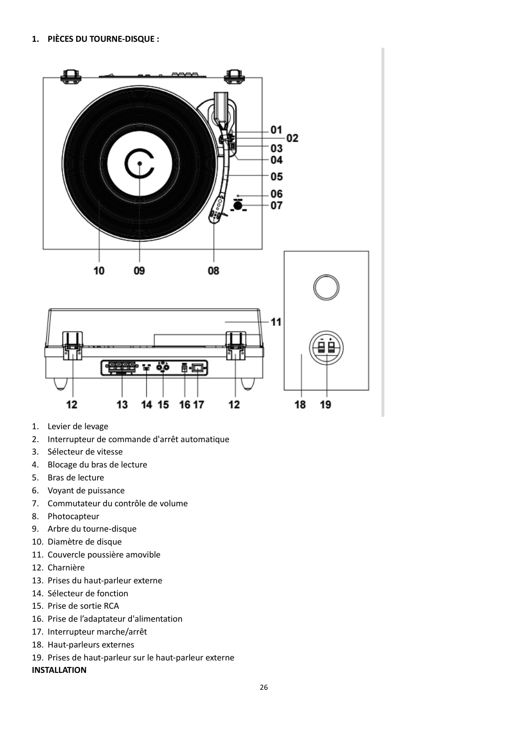

- 1. Levier de levage
- 2. Interrupteur de commande d'arrêt automatique
- 3. Sélecteur de vitesse
- 4. Blocage du bras de lecture
- 5. Bras de lecture
- 6. Voyant de puissance
- 7. Commutateur du contrôle de volume
- 8. Photocapteur
- 9. Arbre du tourne-disque
- 10. Diamètre de disque
- 11. Couvercle poussière amovible
- 12. Charnière
- 13. Prises du haut-parleur externe
- 14. Sélecteur de fonction
- 15. Prise de sortie RCA
- 16. Prise de l'adaptateur d'alimentation
- 17. Interrupteur marche/arrêt
- 18. Haut-parleurs externes
- 19. Prises de haut-parleur sur le haut-parleur externe

#### **INSTALLATION**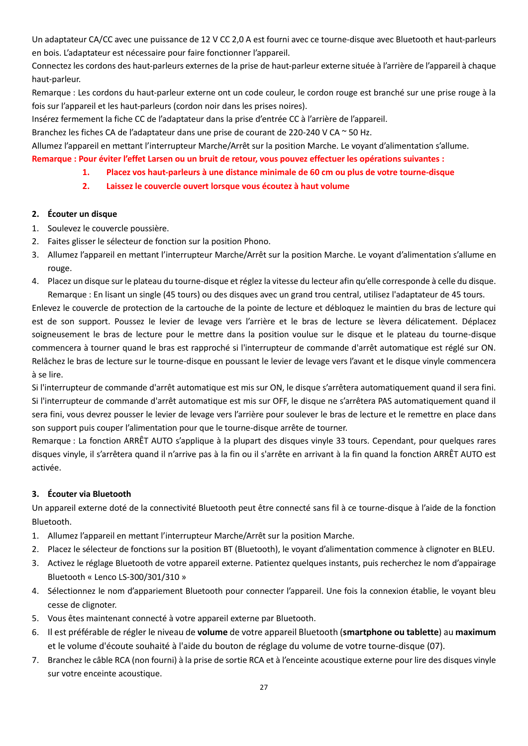Un adaptateur CA/CC avec une puissance de 12 V CC 2,0 A est fourni avec ce tourne-disque avec Bluetooth et haut-parleurs en bois. L'adaptateur est nécessaire pour faire fonctionner l'appareil.

Connectez les cordons des haut-parleurs externes de la prise de haut-parleur externe située à l'arrière de l'appareil à chaque haut-parleur.

Remarque : Les cordons du haut-parleur externe ont un code couleur, le cordon rouge est branché sur une prise rouge à la fois sur l'appareil et les haut-parleurs (cordon noir dans les prises noires).

Insérez fermement la fiche CC de l'adaptateur dans la prise d'entrée CC à l'arrière de l'appareil.

Branchez les fiches CA de l'adaptateur dans une prise de courant de 220-240 V CA ~ 50 Hz.

Allumez l'appareil en mettant l'interrupteur Marche/Arrêt sur la position Marche. Le voyant d'alimentation s'allume.

- **Remarque : Pour éviter l'effet Larsen ou un bruit de retour, vous pouvez effectuer les opérations suivantes :**
	- **1. Placez vos haut-parleurs à une distance minimale de 60 cm ou plus de votre tourne-disque**
	- **2. Laissez le couvercle ouvert lorsque vous écoutez à haut volume**

#### **2. Écouter un disque**

- 1. Soulevez le couvercle poussière.
- 2. Faites glisser le sélecteur de fonction sur la position Phono.
- 3. Allumez l'appareil en mettant l'interrupteur Marche/Arrêt sur la position Marche. Le voyant d'alimentation s'allume en rouge.
- 4. Placez un disque sur le plateau du tourne-disque et réglez la vitesse du lecteur afin qu'elle corresponde à celle du disque. Remarque : En lisant un single (45 tours) ou des disques avec un grand trou central, utilisez l'adaptateur de 45 tours.

Enlevez le couvercle de protection de la cartouche de la pointe de lecture et débloquez le maintien du bras de lecture qui est de son support. Poussez le levier de levage vers l'arrière et le bras de lecture se lèvera délicatement. Déplacez soigneusement le bras de lecture pour le mettre dans la position voulue sur le disque et le plateau du tourne-disque commencera à tourner quand le bras est rapproché si l'interrupteur de commande d'arrêt automatique est réglé sur ON. Relâchez le bras de lecture sur le tourne-disque en poussant le levier de levage vers l'avant et le disque vinyle commencera à se lire.

Si l'interrupteur de commande d'arrêt automatique est mis sur ON, le disque s'arrêtera automatiquement quand il sera fini. Si l'interrupteur de commande d'arrêt automatique est mis sur OFF, le disque ne s'arrêtera PAS automatiquement quand il sera fini, vous devrez pousser le levier de levage vers l'arrière pour soulever le bras de lecture et le remettre en place dans son support puis couper l'alimentation pour que le tourne-disque arrête de tourner.

Remarque : La fonction ARRÊT AUTO s'applique à la plupart des disques vinyle 33 tours. Cependant, pour quelques rares disques vinyle, il s'arrêtera quand il n'arrive pas à la fin ou il s'arrête en arrivant à la fin quand la fonction ARRÊT AUTO est activée.

# **3. Écouter via Bluetooth**

Un appareil externe doté de la connectivité Bluetooth peut être connecté sans fil à ce tourne-disque à l'aide de la fonction Bluetooth.

- 1. Allumez l'appareil en mettant l'interrupteur Marche/Arrêt sur la position Marche.
- 2. Placez le sélecteur de fonctions sur la position BT (Bluetooth), le voyant d'alimentation commence à clignoter en BLEU.
- 3. Activez le réglage Bluetooth de votre appareil externe. Patientez quelques instants, puis recherchez le nom d'appairage Bluetooth « Lenco LS-300/301/310 »
- 4. Sélectionnez le nom d'appariement Bluetooth pour connecter l'appareil. Une fois la connexion établie, le voyant bleu cesse de clignoter.
- 5. Vous êtes maintenant connecté à votre appareil externe par Bluetooth.
- 6. Il est préférable de régler le niveau de **volume** de votre appareil Bluetooth (**smartphone ou tablette**) au **maximum** et le volume d'écoute souhaité à l'aide du bouton de réglage du volume de votre tourne-disque (07).
- 7. Branchez le câble RCA (non fourni) à la prise de sortie RCA et à l'enceinte acoustique externe pour lire des disques vinyle sur votre enceinte acoustique.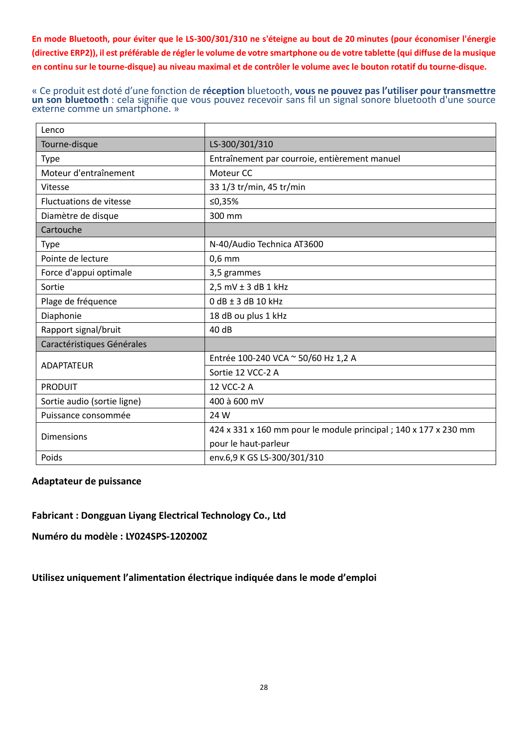**En mode Bluetooth, pour éviter que le LS-300/301/310 ne s'éteigne au bout de 20 minutes (pour économiser l'énergie (directive ERP2)), il est préférable de régler le volume de votre smartphone ou de votre tablette (qui diffuse de la musique en continu sur le tourne-disque) au niveau maximal et de contrôler le volume avec le bouton rotatif du tourne-disque.**

« Ce produit est doté d'une fonction de **réception** bluetooth, **vous ne pouvez pas l'utiliser pour transmettre un son bluetooth** : cela signifie que vous pouvez recevoir sans fil un signal sonore bluetooth d'une source externe comme un smartphone. »

| Lenco                          |                                                                  |
|--------------------------------|------------------------------------------------------------------|
| Tourne-disque                  | LS-300/301/310                                                   |
| <b>Type</b>                    | Entraînement par courroie, entièrement manuel                    |
| Moteur d'entraînement          | Moteur CC                                                        |
| Vitesse                        | 33 1/3 tr/min, 45 tr/min                                         |
| <b>Fluctuations de vitesse</b> | ≤0,35%                                                           |
| Diamètre de disque             | 300 mm                                                           |
| Cartouche                      |                                                                  |
| Type                           | N-40/Audio Technica AT3600                                       |
| Pointe de lecture              | $0,6$ mm                                                         |
| Force d'appui optimale         | 3,5 grammes                                                      |
| Sortie                         | $2,5$ mV $\pm$ 3 dB 1 kHz                                        |
| Plage de fréquence             | $0$ dB $\pm$ 3 dB 10 kHz                                         |
| Diaphonie                      | 18 dB ou plus 1 kHz                                              |
| Rapport signal/bruit           | 40 dB                                                            |
| Caractéristiques Générales     |                                                                  |
| <b>ADAPTATEUR</b>              | Entrée 100-240 VCA ~ 50/60 Hz 1,2 A                              |
|                                | Sortie 12 VCC-2 A                                                |
| <b>PRODUIT</b>                 | 12 VCC-2 A                                                       |
| Sortie audio (sortie ligne)    | 400 à 600 mV                                                     |
| Puissance consommée            | 24 W                                                             |
|                                | 424 x 331 x 160 mm pour le module principal ; 140 x 177 x 230 mm |
| <b>Dimensions</b>              | pour le haut-parleur                                             |
| Poids                          | env.6,9 K GS LS-300/301/310                                      |

# **Adaptateur de puissance**

**Fabricant : Dongguan Liyang Electrical Technology Co., Ltd**

**Numéro du modèle : LY024SPS-120200Z**

**Utilisez uniquement l'alimentation électrique indiquée dans le mode d'emploi**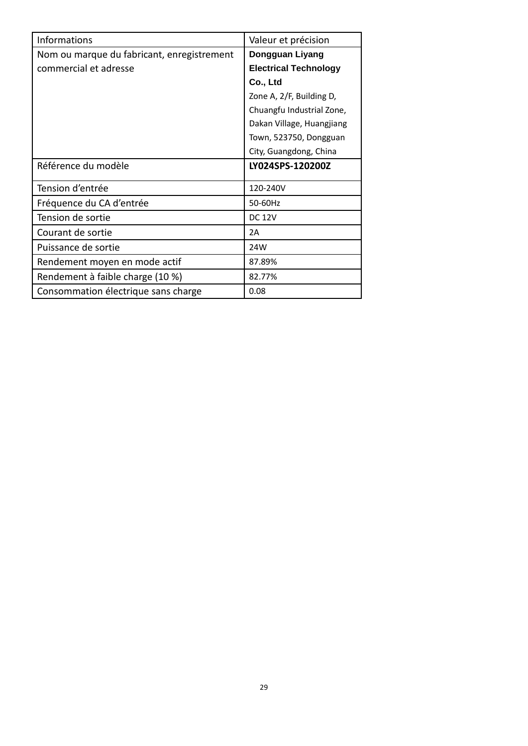| Informations                               | Valeur et précision          |
|--------------------------------------------|------------------------------|
| Nom ou marque du fabricant, enregistrement | Dongguan Liyang              |
| commercial et adresse                      | <b>Electrical Technology</b> |
|                                            | Co., Ltd                     |
|                                            | Zone A, 2/F, Building D,     |
|                                            | Chuangfu Industrial Zone,    |
|                                            | Dakan Village, Huangjiang    |
|                                            | Town, 523750, Dongguan       |
|                                            | City, Guangdong, China       |
| Référence du modèle                        | LY024SPS-120200Z             |
| Tension d'entrée                           | 120-240V                     |
| Fréquence du CA d'entrée                   | 50-60Hz                      |
| Tension de sortie                          | <b>DC 12V</b>                |
| Courant de sortie                          | 2A                           |
| Puissance de sortie                        | 24W                          |
| Rendement moyen en mode actif              | 87.89%                       |
| Rendement à faible charge (10 %)           | 82.77%                       |
| Consommation électrique sans charge        | 0.08                         |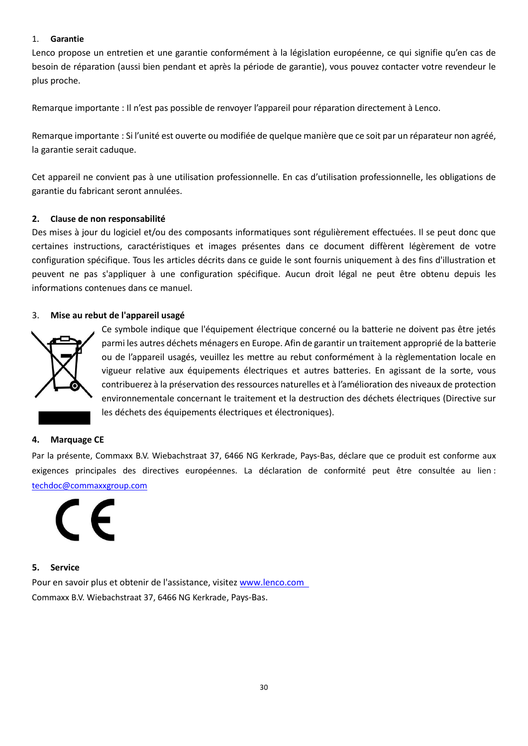#### 1. **Garantie**

Lenco propose un entretien et une garantie conformément à la législation européenne, ce qui signifie qu'en cas de besoin de réparation (aussi bien pendant et après la période de garantie), vous pouvez contacter votre revendeur le plus proche.

Remarque importante : Il n'est pas possible de renvoyer l'appareil pour réparation directement à Lenco.

Remarque importante : Si l'unité est ouverte ou modifiée de quelque manière que ce soit par un réparateur non agréé, la garantie serait caduque.

Cet appareil ne convient pas à une utilisation professionnelle. En cas d'utilisation professionnelle, les obligations de garantie du fabricant seront annulées.

#### **2. Clause de non responsabilité**

Des mises à jour du logiciel et/ou des composants informatiques sont régulièrement effectuées. Il se peut donc que certaines instructions, caractéristiques et images présentes dans ce document diffèrent légèrement de votre configuration spécifique. Tous les articles décrits dans ce guide le sont fournis uniquement à des fins d'illustration et peuvent ne pas s'appliquer à une configuration spécifique. Aucun droit légal ne peut être obtenu depuis les informations contenues dans ce manuel.

#### 3. **Mise au rebut de l'appareil usagé**



Ce symbole indique que l'équipement électrique concerné ou la batterie ne doivent pas être jetés parmi les autres déchets ménagers en Europe. Afin de garantir un traitement approprié de la batterie ou de l'appareil usagés, veuillez les mettre au rebut conformément à la règlementation locale en vigueur relative aux équipements électriques et autres batteries. En agissant de la sorte, vous contribuerez à la préservation des ressources naturelles et à l'amélioration des niveaux de protection environnementale concernant le traitement et la destruction des déchets électriques (Directive sur les déchets des équipements électriques et électroniques).

#### **4. Marquage CE**

Par la présente, Commaxx B.V. Wiebachstraat 37, 6466 NG Kerkrade, Pays-Bas, déclare que ce produit est conforme aux exigences principales des directives européennes. La déclaration de conformité peut être consultée au lien : [techdoc@commaxxgroup.com](mailto:techdoc@commaxxgroup.com)



#### **5. Service**

Pour en savoir plus et obtenir de l'assistance, visitez [www.lenco.com](http://www.lenco.com/) Commaxx B.V. Wiebachstraat 37, 6466 NG Kerkrade, Pays-Bas.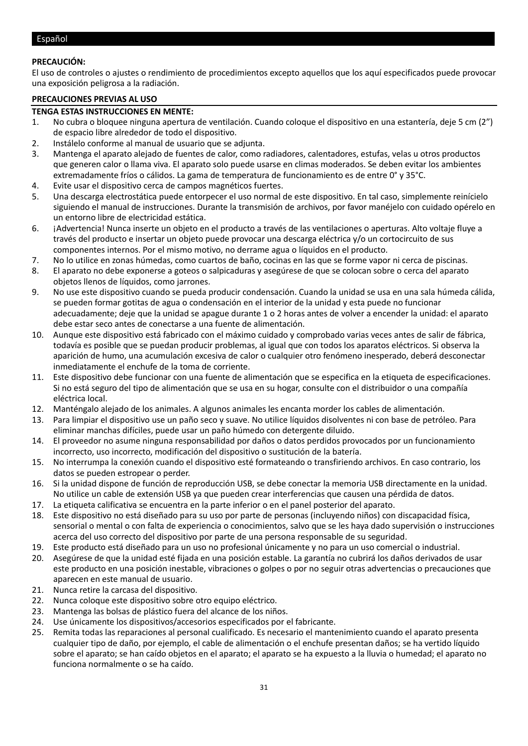#### <span id="page-30-0"></span>Español

#### **PRECAUCIÓN:**

El uso de controles o ajustes o rendimiento de procedimientos excepto aquellos que los aquí especificados puede provocar una exposición peligrosa a la radiación.

#### **PRECAUCIONES PREVIAS AL USO**

#### **TENGA ESTAS INSTRUCCIONES EN MENTE:**

- 1. No cubra o bloquee ninguna apertura de ventilación. Cuando coloque el dispositivo en una estantería, deje 5 cm (2") de espacio libre alrededor de todo el dispositivo.
- 2. Instálelo conforme al manual de usuario que se adjunta.
- 3. Mantenga el aparato alejado de fuentes de calor, como radiadores, calentadores, estufas, velas u otros productos que generen calor o llama viva. El aparato solo puede usarse en climas moderados. Se deben evitar los ambientes extremadamente fríos o cálidos. La gama de temperatura de funcionamiento es de entre 0° y 35°C.
- 4. Evite usar el dispositivo cerca de campos magnéticos fuertes.
- 5. Una descarga electrostática puede entorpecer el uso normal de este dispositivo. En tal caso, simplemente reinícielo siguiendo el manual de instrucciones. Durante la transmisión de archivos, por favor manéjelo con cuidado opérelo en un entorno libre de electricidad estática.
- 6. ¡Advertencia! Nunca inserte un objeto en el producto a través de las ventilaciones o aperturas. Alto voltaje fluye a través del producto e insertar un objeto puede provocar una descarga eléctrica y/o un cortocircuito de sus componentes internos. Por el mismo motivo, no derrame agua o líquidos en el producto.
- 7. No lo utilice en zonas húmedas, como cuartos de baño, cocinas en las que se forme vapor ni cerca de piscinas.
- 8. El aparato no debe exponerse a goteos o salpicaduras y asegúrese de que se colocan sobre o cerca del aparato objetos llenos de líquidos, como jarrones.
- 9. No use este dispositivo cuando se pueda producir condensación. Cuando la unidad se usa en una sala húmeda cálida, se pueden formar gotitas de agua o condensación en el interior de la unidad y esta puede no funcionar adecuadamente; deje que la unidad se apague durante 1 o 2 horas antes de volver a encender la unidad: el aparato debe estar seco antes de conectarse a una fuente de alimentación.
- 10. Aunque este dispositivo está fabricado con el máximo cuidado y comprobado varias veces antes de salir de fábrica, todavía es posible que se puedan producir problemas, al igual que con todos los aparatos eléctricos. Si observa la aparición de humo, una acumulación excesiva de calor o cualquier otro fenómeno inesperado, deberá desconectar inmediatamente el enchufe de la toma de corriente.
- 11. Este dispositivo debe funcionar con una fuente de alimentación que se especifica en la etiqueta de especificaciones. Si no está seguro del tipo de alimentación que se usa en su hogar, consulte con el distribuidor o una compañía eléctrica local.
- 12. Manténgalo alejado de los animales. A algunos animales les encanta morder los cables de alimentación.
- 13. Para limpiar el dispositivo use un paño seco y suave. No utilice líquidos disolventes ni con base de petróleo. Para eliminar manchas difíciles, puede usar un paño húmedo con detergente diluido.
- 14. El proveedor no asume ninguna responsabilidad por daños o datos perdidos provocados por un funcionamiento incorrecto, uso incorrecto, modificación del dispositivo o sustitución de la batería.
- 15. No interrumpa la conexión cuando el dispositivo esté formateando o transfiriendo archivos. En caso contrario, los datos se pueden estropear o perder.
- 16. Si la unidad dispone de función de reproducción USB, se debe conectar la memoria USB directamente en la unidad. No utilice un cable de extensión USB ya que pueden crear interferencias que causen una pérdida de datos.
- 17. La etiqueta calificativa se encuentra en la parte inferior o en el panel posterior del aparato.
- 18. Este dispositivo no está diseñado para su uso por parte de personas (incluyendo niños) con discapacidad física, sensorial o mental o con falta de experiencia o conocimientos, salvo que se les haya dado supervisión o instrucciones acerca del uso correcto del dispositivo por parte de una persona responsable de su seguridad.
- 19. Este producto está diseñado para un uso no profesional únicamente y no para un uso comercial o industrial.
- 20. Asegúrese de que la unidad esté fijada en una posición estable. La garantía no cubrirá los daños derivados de usar este producto en una posición inestable, vibraciones o golpes o por no seguir otras advertencias o precauciones que aparecen en este manual de usuario.
- 21. Nunca retire la carcasa del dispositivo.
- 22. Nunca coloque este dispositivo sobre otro equipo eléctrico.
- 23. Mantenga las bolsas de plástico fuera del alcance de los niños.
- 24. Use únicamente los dispositivos/accesorios especificados por el fabricante.
- 25. Remita todas las reparaciones al personal cualificado. Es necesario el mantenimiento cuando el aparato presenta cualquier tipo de daño, por ejemplo, el cable de alimentación o el enchufe presentan daños; se ha vertido líquido sobre el aparato; se han caído objetos en el aparato; el aparato se ha expuesto a la lluvia o humedad; el aparato no funciona normalmente o se ha caído.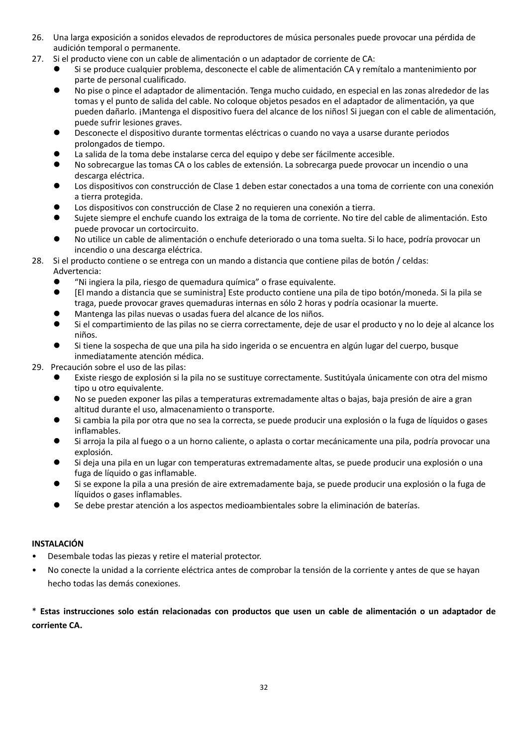- 26. Una larga exposición a sonidos elevados de reproductores de música personales puede provocar una pérdida de audición temporal o permanente.
- 27. Si el producto viene con un cable de alimentación o un adaptador de corriente de CA:
	- ⚫ Si se produce cualquier problema, desconecte el cable de alimentación CA y remítalo a mantenimiento por parte de personal cualificado.
	- ⚫ No pise o pince el adaptador de alimentación. Tenga mucho cuidado, en especial en las zonas alrededor de las tomas y el punto de salida del cable. No coloque objetos pesados en el adaptador de alimentación, ya que pueden dañarlo. ¡Mantenga el dispositivo fuera del alcance de los niños! Si juegan con el cable de alimentación, puede sufrir lesiones graves.
	- ⚫ Desconecte el dispositivo durante tormentas eléctricas o cuando no vaya a usarse durante periodos prolongados de tiempo.
	- La salida de la toma debe instalarse cerca del equipo y debe ser fácilmente accesible.
	- ⚫ No sobrecargue las tomas CA o los cables de extensión. La sobrecarga puede provocar un incendio o una descarga eléctrica.
	- ⚫ Los dispositivos con construcción de Clase 1 deben estar conectados a una toma de corriente con una conexión a tierra protegida.
	- Los dispositivos con construcción de Clase 2 no requieren una conexión a tierra.
	- ⚫ Sujete siempre el enchufe cuando los extraiga de la toma de corriente. No tire del cable de alimentación. Esto puede provocar un cortocircuito.
	- ⚫ No utilice un cable de alimentación o enchufe deteriorado o una toma suelta. Si lo hace, podría provocar un incendio o una descarga eléctrica.
- 28. Si el producto contiene o se entrega con un mando a distancia que contiene pilas de botón / celdas: Advertencia:
	- ⚫ "Ni ingiera la pila, riesgo de quemadura química" o frase equivalente.
	- ⚫ [El mando a distancia que se suministra] Este producto contiene una pila de tipo botón/moneda. Si la pila se traga, puede provocar graves quemaduras internas en sólo 2 horas y podría ocasionar la muerte.
	- ⚫ Mantenga las pilas nuevas o usadas fuera del alcance de los niños.
	- Si el compartimiento de las pilas no se cierra correctamente, deje de usar el producto y no lo deje al alcance los niños.
	- ⚫ Si tiene la sospecha de que una pila ha sido ingerida o se encuentra en algún lugar del cuerpo, busque inmediatamente atención médica.
- 29. Precaución sobre el uso de las pilas:
	- ⚫ Existe riesgo de explosión si la pila no se sustituye correctamente. Sustitúyala únicamente con otra del mismo tipo u otro equivalente.
	- ⚫ No se pueden exponer las pilas a temperaturas extremadamente altas o bajas, baja presión de aire a gran altitud durante el uso, almacenamiento o transporte.
	- ⚫ Si cambia la pila por otra que no sea la correcta, se puede producir una explosión o la fuga de líquidos o gases inflamables.
	- Si arroja la pila al fuego o a un horno caliente, o aplasta o cortar mecánicamente una pila, podría provocar una explosión.
	- Si deja una pila en un lugar con temperaturas extremadamente altas, se puede producir una explosión o una fuga de líquido o gas inflamable.
	- ⚫ Si se expone la pila a una presión de aire extremadamente baja, se puede producir una explosión o la fuga de líquidos o gases inflamables.
	- ⚫ Se debe prestar atención a los aspectos medioambientales sobre la eliminación de baterías.

#### **INSTALACIÓN**

- Desembale todas las piezas y retire el material protector.
- No conecte la unidad a la corriente eléctrica antes de comprobar la tensión de la corriente y antes de que se hayan hecho todas las demás conexiones.

\* **Estas instrucciones solo están relacionadas con productos que usen un cable de alimentación o un adaptador de corriente CA.**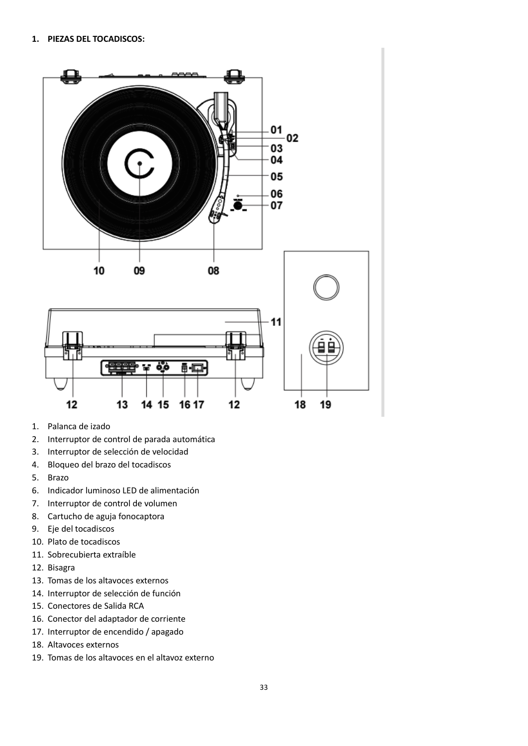

- 1. Palanca de izado
- 2. Interruptor de control de parada automática
- 3. Interruptor de selección de velocidad
- 4. Bloqueo del brazo del tocadiscos
- 5. Brazo
- 6. Indicador luminoso LED de alimentación
- 7. Interruptor de control de volumen
- 8. Cartucho de aguja fonocaptora
- 9. Eje del tocadiscos
- 10. Plato de tocadiscos
- 11. Sobrecubierta extraíble
- 12. Bisagra
- 13. Tomas de los altavoces externos
- 14. Interruptor de selección de función
- 15. Conectores de Salida RCA
- 16. Conector del adaptador de corriente
- 17. Interruptor de encendido / apagado
- 18. Altavoces externos
- 19. Tomas de los altavoces en el altavoz externo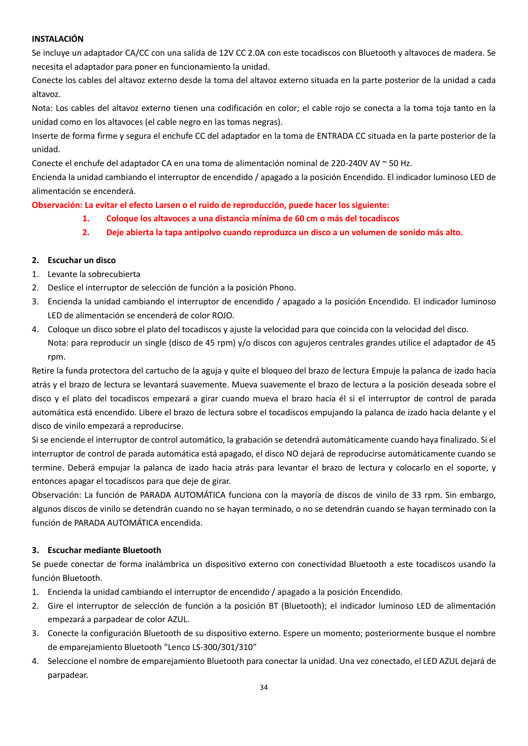#### **INSTALACIÓN**

Se incluye un adaptador CA/CC con una salida de 12V CC 2.0A con este tocadiscos con Bluetooth y altavoces de madera. Se necesita el adaptador para poner en funcionamiento la unidad.

Conecte los cables del altavoz externo desde la toma del altavoz externo situada en la parte posterior de la unidad a cada altavoz.

Nota: Los cables del altavoz externo tienen una codificación en color; el cable rojo se conecta a la toma toja tanto en la unidad como en los altavoces (el cable negro en las tomas negras).

Inserte de forma firme y segura el enchufe CC del adaptador en la toma de ENTRADA CC situada en la parte posterior de la unidad.

Conecte el enchufe del adaptador CA en una toma de alimentación nominal de 220-240V AV ~ 50 Hz.

Encienda la unidad cambiando el interruptor de encendido / apagado a la posición Encendido. El indicador luminoso LED de alimentación se encenderá.

**Observación: La evitar el efecto Larsen o el ruido de reproducción, puede hacer los siguiente:**

- **1. Coloque los altavoces a una distancia mínima de 60 cm o más del tocadiscos**
- **2. Deje abierta la tapa antipolvo cuando reproduzca un disco a un volumen de sonido más alto.**

#### **2. Escuchar un disco**

- 1. Levante la sobrecubierta
- 2. Deslice el interruptor de selección de función a la posición Phono.
- 3. Encienda la unidad cambiando el interruptor de encendido / apagado a la posición Encendido. El indicador luminoso LED de alimentación se encenderá de color ROJO.
- 4. Coloque un disco sobre el plato del tocadiscos y ajuste la velocidad para que coincida con la velocidad del disco. Nota: para reproducir un single (disco de 45 rpm) y/o discos con agujeros centrales grandes utilice el adaptador de 45 rpm.

Retire la funda protectora del cartucho de la aguja y quite el bloqueo del brazo de lectura Empuje la palanca de izado hacia atrás y el brazo de lectura se levantará suavemente. Mueva suavemente el brazo de lectura a la posición deseada sobre el disco y el plato del tocadiscos empezará a girar cuando mueva el brazo hacia él si el interruptor de control de parada automática está encendido. Libere el brazo de lectura sobre el tocadiscos empujando la palanca de izado hacia delante y el disco de vinilo empezará a reproducirse.

Si se enciende el interruptor de control automático, la grabación se detendrá automáticamente cuando haya finalizado. Si el interruptor de control de parada automática está apagado, el disco NO dejará de reproducirse automáticamente cuando se termine. Deberá empujar la palanca de izado hacia atrás para levantar el brazo de lectura y colocarlo en el soporte, y entonces apagar el tocadiscos para que deje de girar.

Observación: La función de PARADA AUTOMÁTICA funciona con la mayoría de discos de vinilo de 33 rpm. Sin embargo, algunos discos de vinilo se detendrán cuando no se hayan terminado, o no se detendrán cuando se hayan terminado con la función de PARADA AUTOMÁTICA encendida.

#### **3. Escuchar mediante Bluetooth**

Se puede conectar de forma inalámbrica un dispositivo externo con conectividad Bluetooth a este tocadiscos usando la función Bluetooth.

- 1. Encienda la unidad cambiando el interruptor de encendido / apagado a la posición Encendido.
- 2. Gire el interruptor de selección de función a la posición BT (Bluetooth); el indicador luminoso LED de alimentación empezará a parpadear de color AZUL.
- 3. Conecte la configuración Bluetooth de su dispositivo externo. Espere un momento; posteriormente busque el nombre de emparejamiento Bluetooth "Lenco LS-300/301/310"
- 4. Seleccione el nombre de emparejamiento Bluetooth para conectar la unidad. Una vez conectado, el LED AZUL dejará de parpadear.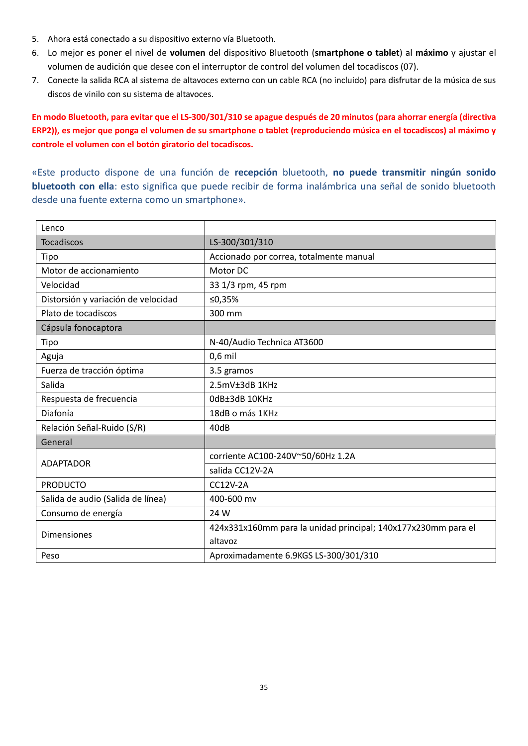- 5. Ahora está conectado a su dispositivo externo vía Bluetooth.
- 6. Lo mejor es poner el nivel de **volumen** del dispositivo Bluetooth (**smartphone o tablet**) al **máximo** y ajustar el volumen de audición que desee con el interruptor de control del volumen del tocadiscos (07).
- 7. Conecte la salida RCA al sistema de altavoces externo con un cable RCA (no incluido) para disfrutar de la música de sus discos de vinilo con su sistema de altavoces.

**En modo Bluetooth, para evitar que el LS-300/301/310 se apague después de 20 minutos (para ahorrar energía (directiva ERP2)), es mejor que ponga el volumen de su smartphone o tablet (reproduciendo música en el tocadiscos) al máximo y controle el volumen con el botón giratorio del tocadiscos.**

«Este producto dispone de una función de **recepción** bluetooth, **no puede transmitir ningún sonido bluetooth con ella**: esto significa que puede recibir de forma inalámbrica una señal de sonido bluetooth desde una fuente externa como un smartphone».

| Lenco                               |                                                               |
|-------------------------------------|---------------------------------------------------------------|
| <b>Tocadiscos</b>                   | LS-300/301/310                                                |
| Tipo                                | Accionado por correa, totalmente manual                       |
| Motor de accionamiento              | Motor DC                                                      |
| Velocidad                           | 33 1/3 rpm, 45 rpm                                            |
| Distorsión y variación de velocidad | ≤0,35%                                                        |
| Plato de tocadiscos                 | 300 mm                                                        |
| Cápsula fonocaptora                 |                                                               |
| Tipo                                | N-40/Audio Technica AT3600                                    |
| Aguja                               | $0,6$ mil                                                     |
| Fuerza de tracción óptima           | 3.5 gramos                                                    |
| Salida                              | 2.5mV±3dB 1KHz                                                |
| Respuesta de frecuencia             | OdB±3dB 10KHz                                                 |
| Diafonía                            | 18dB o más 1KHz                                               |
| Relación Señal-Ruido (S/R)          | 40dB                                                          |
| General                             |                                                               |
| <b>ADAPTADOR</b>                    | corriente AC100-240V~50/60Hz 1.2A                             |
|                                     | salida CC12V-2A                                               |
| <b>PRODUCTO</b>                     | <b>CC12V-2A</b>                                               |
| Salida de audio (Salida de línea)   | 400-600 mv                                                    |
| Consumo de energía                  | 24 W                                                          |
|                                     | 424x331x160mm para la unidad principal; 140x177x230mm para el |
| <b>Dimensiones</b>                  | altavoz                                                       |
| Peso                                | Aproximadamente 6.9KGS LS-300/301/310                         |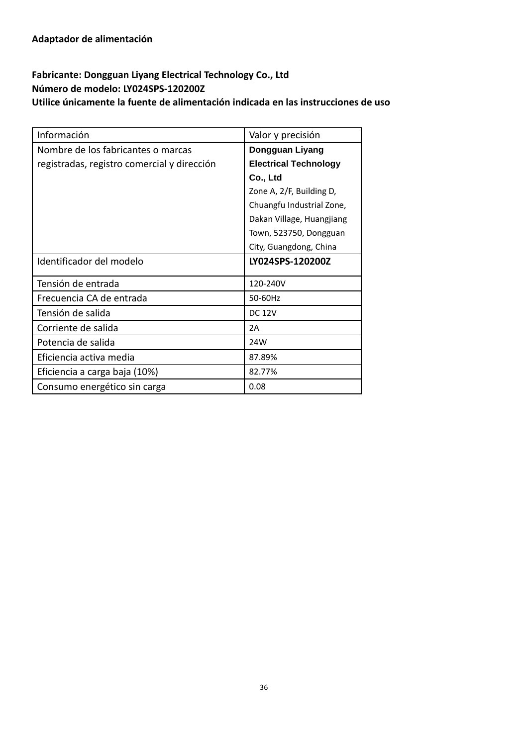# **Fabricante: Dongguan Liyang Electrical Technology Co., Ltd Número de modelo: LY024SPS-120200Z Utilice únicamente la fuente de alimentación indicada en las instrucciones de uso**

| Información                                 | Valor y precisión            |
|---------------------------------------------|------------------------------|
| Nombre de los fabricantes o marcas          | Dongguan Liyang              |
| registradas, registro comercial y dirección | <b>Electrical Technology</b> |
|                                             | Co., Ltd                     |
|                                             | Zone A, 2/F, Building D,     |
|                                             | Chuangfu Industrial Zone,    |
|                                             | Dakan Village, Huangjiang    |
|                                             | Town, 523750, Dongguan       |
|                                             | City, Guangdong, China       |
| Identificador del modelo                    | LY024SPS-120200Z             |
| Tensión de entrada                          | 120-240V                     |
| Frecuencia CA de entrada                    | 50-60Hz                      |
| Tensión de salida                           | <b>DC 12V</b>                |
| Corriente de salida                         | 2A                           |
| Potencia de salida                          | 24W                          |
| Eficiencia activa media                     | 87.89%                       |
| Eficiencia a carga baja (10%)               | 82.77%                       |
| Consumo energético sin carga                | 0.08                         |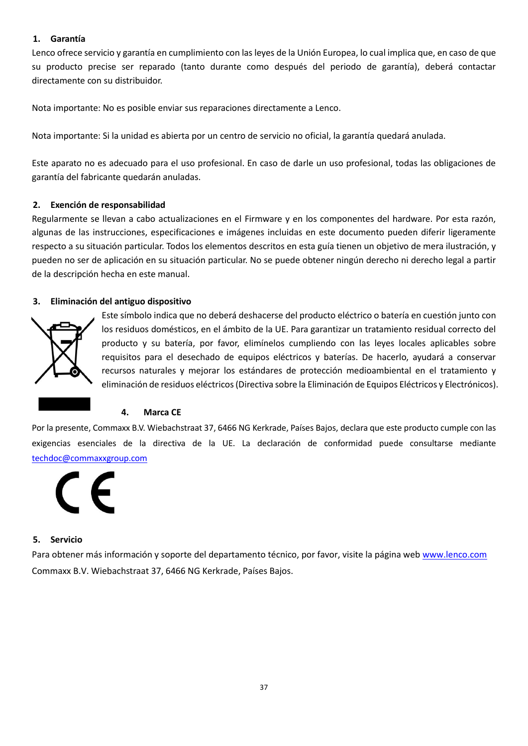#### **1. Garantía**

Lenco ofrece servicio y garantía en cumplimiento con las leyes de la Unión Europea, lo cual implica que, en caso de que su producto precise ser reparado (tanto durante como después del periodo de garantía), deberá contactar directamente con su distribuidor.

Nota importante: No es posible enviar sus reparaciones directamente a Lenco.

Nota importante: Si la unidad es abierta por un centro de servicio no oficial, la garantía quedará anulada.

Este aparato no es adecuado para el uso profesional. En caso de darle un uso profesional, todas las obligaciones de garantía del fabricante quedarán anuladas.

#### **2. Exención de responsabilidad**

Regularmente se llevan a cabo actualizaciones en el Firmware y en los componentes del hardware. Por esta razón, algunas de las instrucciones, especificaciones e imágenes incluidas en este documento pueden diferir ligeramente respecto a su situación particular. Todos los elementos descritos en esta guía tienen un objetivo de mera ilustración, y pueden no ser de aplicación en su situación particular. No se puede obtener ningún derecho ni derecho legal a partir de la descripción hecha en este manual.

#### **3. Eliminación del antiguo dispositivo**



Este símbolo indica que no deberá deshacerse del producto eléctrico o batería en cuestión junto con los residuos domésticos, en el ámbito de la UE. Para garantizar un tratamiento residual correcto del producto y su batería, por favor, elimínelos cumpliendo con las leyes locales aplicables sobre requisitos para el desechado de equipos eléctricos y baterías. De hacerlo, ayudará a conservar recursos naturales y mejorar los estándares de protección medioambiental en el tratamiento y eliminación de residuos eléctricos (Directiva sobre la Eliminación de Equipos Eléctricos y Electrónicos).

# **4. Marca CE**

Por la presente, Commaxx B.V. Wiebachstraat 37, 6466 NG Kerkrade, Países Bajos, declara que este producto cumple con las exigencias esenciales de la directiva de la UE. La declaración de conformidad puede consultarse mediante [techdoc@commaxxgroup.com](mailto:techdoc@commaxxgroup.com)

#### **5. Servicio**

Para obtener más información y soporte del departamento técnico, por favor, visite la página web [www.lenco.com](http://www.lenco.com/) Commaxx B.V. Wiebachstraat 37, 6466 NG Kerkrade, Países Bajos.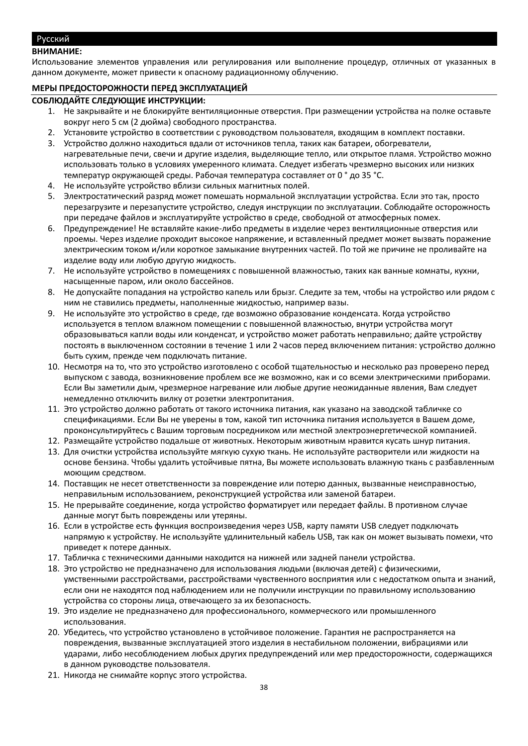#### <span id="page-37-0"></span>Русский

#### **ВНИМАНИЕ:**

Использование элементов управления или регулирования или выполнение процедур, отличных от указанных в данном документе, может привести к опасному радиационному облучению.

#### **МЕРЫ ПРЕДОСТОРОЖНОСТИ ПЕРЕД ЭКСПЛУАТАЦИЕЙ**

#### **СОБЛЮДАЙТЕ СЛЕДУЮЩИЕ ИНСТРУКЦИИ:**

- 1. Не закрывайте и не блокируйте вентиляционные отверстия. При размещении устройства на полке оставьте вокруг него 5 см (2 дюйма) свободного пространства.
- 2. Установите устройство в соответствии с руководством пользователя, входящим в комплект поставки.
- 3. Устройство должно находиться вдали от источников тепла, таких как батареи, обогреватели, нагревательные печи, свечи и другие изделия, выделяющие тепло, или открытое пламя. Устройство можно использовать только в условиях умеренного климата. Следует избегать чрезмерно высоких или низких температур окружающей среды. Рабочая температура составляет от 0 ° до 35 °C.
- 4. Не используйте устройство вблизи сильных магнитных полей.
- 5. Электростатический разряд может помешать нормальной эксплуатации устройства. Если это так, просто перезагрузите и перезапустите устройство, следуя инструкции по эксплуатации. Соблюдайте осторожность при передаче файлов и эксплуатируйте устройство в среде, свободной от атмосферных помех.
- 6. Предупреждение! Не вставляйте какие-либо предметы в изделие через вентиляционные отверстия или проемы. Через изделие проходит высокое напряжение, и вставленный предмет может вызвать поражение электрическим током и/или короткое замыкание внутренних частей. По той же причине не проливайте на изделие воду или любую другую жидкость.
- 7. Не используйте устройство в помещениях с повышенной влажностью, таких как ванные комнаты, кухни, насыщенные паром, или около бассейнов.
- 8. Не допускайте попадания на устройство капель или брызг. Следите за тем, чтобы на устройство или рядом с ним не ставились предметы, наполненные жидкостью, например вазы.
- 9. Не используйте это устройство в среде, где возможно образование конденсата. Когда устройство используется в теплом влажном помещении с повышенной влажностью, внутри устройства могут образовываться капли воды или конденсат, и устройство может работать неправильно; дайте устройству постоять в выключенном состоянии в течение 1 или 2 часов перед включением питания: устройство должно быть сухим, прежде чем подключать питание.
- 10. Несмотря на то, что это устройство изготовлено с особой тщательностью и несколько раз проверено перед выпуском с завода, возникновение проблем все же возможно, как и со всеми электрическими приборами. Если Вы заметили дым, чрезмерное нагревание или любые другие неожиданные явления, Вам следует немедленно отключить вилку от розетки электропитания.
- 11. Это устройство должно работать от такого источника питания, как указано на заводской табличке со спецификациями. Если Вы не уверены в том, какой тип источника питания используется в Вашем доме, проконсультируйтесь с Вашим торговым посредником или местной электроэнергетической компанией.
- 12. Размещайте устройство подальше от животных. Некоторым животным нравится кусать шнур питания.
- 13. Для очистки устройства используйте мягкую сухую ткань. Не используйте растворители или жидкости на основе бензина. Чтобы удалить устойчивые пятна, Вы можете использовать влажную ткань с разбавленным моющим средством.
- 14. Поставщик не несет ответственности за повреждение или потерю данных, вызванные неисправностью, неправильным использованием, реконструкцией устройства или заменой батареи.
- 15. Не прерывайте соединение, когда устройство форматирует или передает файлы. В противном случае данные могут быть повреждены или утеряны.
- 16. Если в устройстве есть функция воспроизведения через USB, карту памяти USB следует подключать напрямую к устройству. Не используйте удлинительный кабель USB, так как он может вызывать помехи, что приведет к потере данных.
- 17. Табличка с техническими данными находится на нижней или задней панели устройства.
- 18. Это устройство не предназначено для использования людьми (включая детей) с физическими, умственными расстройствами, расстройствами чувственного восприятия или с недостатком опыта и знаний, если они не находятся под наблюдением или не получили инструкции по правильному использованию устройства со стороны лица, отвечающего за их безопасность.
- 19. Это изделие не предназначено для профессионального, коммерческого или промышленного использования.
- 20. Убедитесь, что устройство установлено в устойчивое положение. Гарантия не распространяется на повреждения, вызванные эксплуатацией этого изделия в нестабильном положении, вибрациями или ударами, либо несоблюдением любых других предупреждений или мер предосторожности, содержащихся в данном руководстве пользователя.
- 21. Никогда не снимайте корпус этого устройства.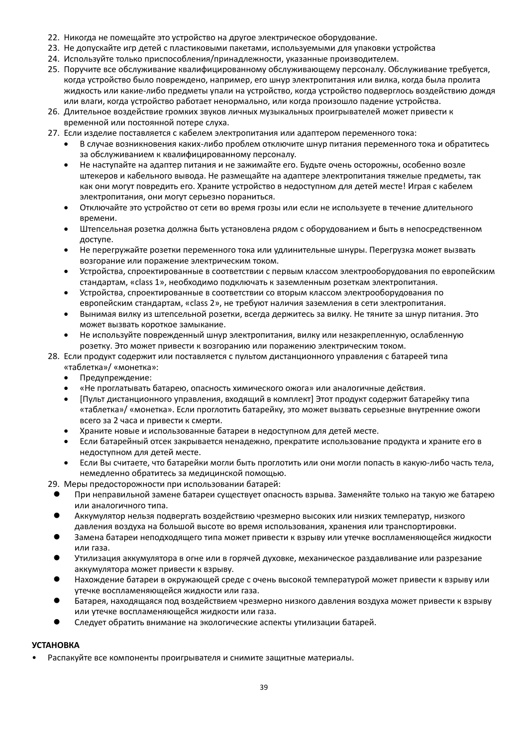- 22. Никогда не помещайте это устройство на другое электрическое оборудование.
- 23. Не допускайте игр детей с пластиковыми пакетами, используемыми для упаковки устройства
- 24. Используйте только приспособления/принадлежности, указанные производителем.
- 25. Поручите все обслуживание квалифицированному обслуживающему персоналу. Обслуживание требуется, когда устройство было повреждено, например, его шнур электропитания или вилка, когда была пролита жидкость или какие-либо предметы упали на устройство, когда устройство подверглось воздействию дождя или влаги, когда устройство работает ненормально, или когда произошло падение устройства.
- 26. Длительное воздействие громких звуков личных музыкальных проигрывателей может привести к временной или постоянной потере слуха.
- 27. Если изделие поставляется с кабелем электропитания или адаптером переменного тока:
	- В случае возникновения каких-либо проблем отключите шнур питания переменного тока и обратитесь за обслуживанием к квалифицированному персоналу.
	- Не наступайте на адаптер питания и не зажимайте его. Будьте очень осторожны, особенно возле штекеров и кабельного вывода. Не размещайте на адаптере электропитания тяжелые предметы, так как они могут повредить его. Храните устройство в недоступном для детей месте! Играя с кабелем электропитания, они могут серьезно пораниться.
	- Отключайте это устройство от сети во время грозы или если не используете в течение длительного времени.
	- Штепсельная розетка должна быть установлена рядом с оборудованием и быть в непосредственном доступе.
	- Не перегружайте розетки переменного тока или удлинительные шнуры. Перегрузка может вызвать возгорание или поражение электрическим током.
	- Устройства, спроектированные в соответствии с первым классом электрооборудования по европейским стандартам, «class 1», необходимо подключать к заземленным розеткам электропитания.
	- Устройства, спроектированные в соответствии со вторым классом электрооборудования по европейским стандартам, «class 2», не требуют наличия заземления в сети электропитания.
	- Вынимая вилку из штепсельной розетки, всегда держитесь за вилку. Не тяните за шнур питания. Это может вызвать короткое замыкание.
	- Не используйте поврежденный шнур электропитания, вилку или незакрепленную, ослабленную розетку. Это может привести к возгоранию или поражению электрическим током.
- 28. Если продукт содержит или поставляется с пультом дистанционного управления с батареей типа «таблетка»/ «монетка»:
	- Предупреждение:
	- «Не проглатывать батарею, опасность химического ожога» или аналогичные действия.
	- [Пульт дистанционного управления, входящий в комплект] Этот продукт содержит батарейку типа «таблетка»/ «монетка». Если проглотить батарейку, это может вызвать серьезные внутренние ожоги всего за 2 часа и привести к смерти.
	- Храните новые и использованные батареи в недоступном для детей месте.
	- Если батарейный отсек закрывается ненадежно, прекратите использование продукта и храните его в недоступном для детей месте.
	- Если Вы считаете, что батарейки могли быть проглотить или они могли попасть в какую-либо часть тела, немедленно обратитесь за медицинской помощью.

29. Меры предосторожности при использовании батарей:

- ⚫ При неправильной замене батареи существует опасность взрыва. Заменяйте только на такую же батарею или аналогичного типа.
- ⚫ Аккумулятор нельзя подвергать воздействию чрезмерно высоких или низких температур, низкого давления воздуха на большой высоте во время использования, хранения или транспортировки.
- ⚫ Замена батареи неподходящего типа может привести к взрыву или утечке воспламеняющейся жидкости или газа.
- ⚫ Утилизация аккумулятора в огне или в горячей духовке, механическое раздавливание или разрезание аккумулятора может привести к взрыву.
- ⚫ Нахождение батареи в окружающей среде с очень высокой температурой может привести к взрыву или утечке воспламеняющейся жидкости или газа.
- ⚫ Батарея, находящаяся под воздействием чрезмерно низкого давления воздуха может привести к взрыву или утечке воспламеняющейся жидкости или газа.
- ⚫ Следует обратить внимание на экологические аспекты утилизации батарей.

# **УСТАНОВКА**

• Распакуйте все компоненты проигрывателя и снимите защитные материалы.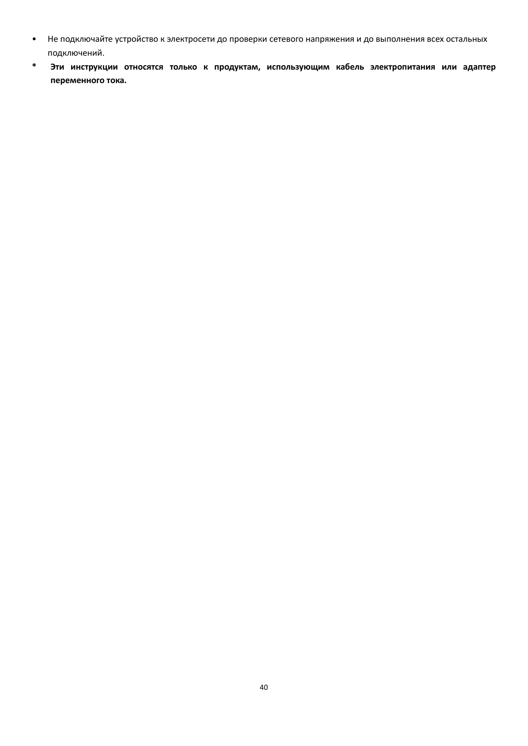- Не подключайте устройство к электросети до проверки сетевого напряжения и до выполнения всех остальных подключений.
- **\* Эти инструкции относятся только к продуктам, использующим кабель электропитания или адаптер переменного тока.**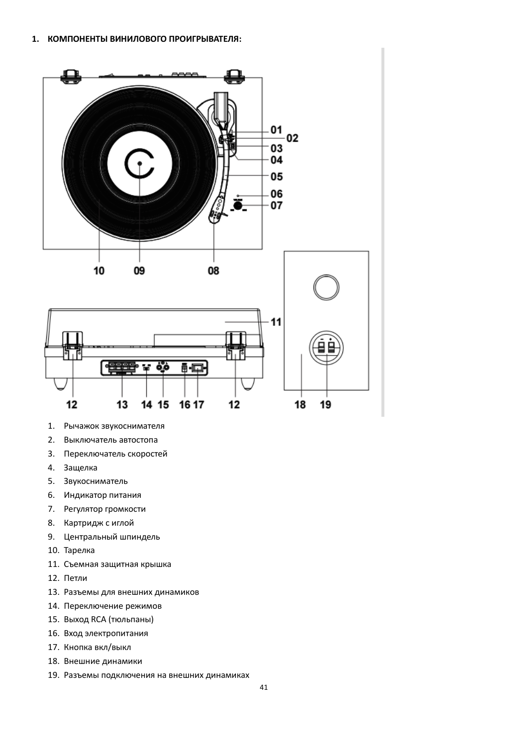

- 1. Рычажок звукоснимателя
- 2. Выключатель автостопа
- 3. Переключатель скоростей
- 4. Защелка
- 5. Звукосниматель
- 6. Индикатор питания
- 7. Регулятор громкости
- 8. Картридж с иглой
- 9. Центральный шпиндель
- 10. Тарелка
- 11. Съемная защитная крышка
- 12. Петли
- 13. Разъемы для внешних динамиков
- 14. Переключение режимов
- 15. Выход RCA (тюльпаны)
- 16. Вход электропитания
- 17. Кнопка вкл/выкл
- 18. Внешние динамики
- 19. Разъемы подключения на внешних динамиках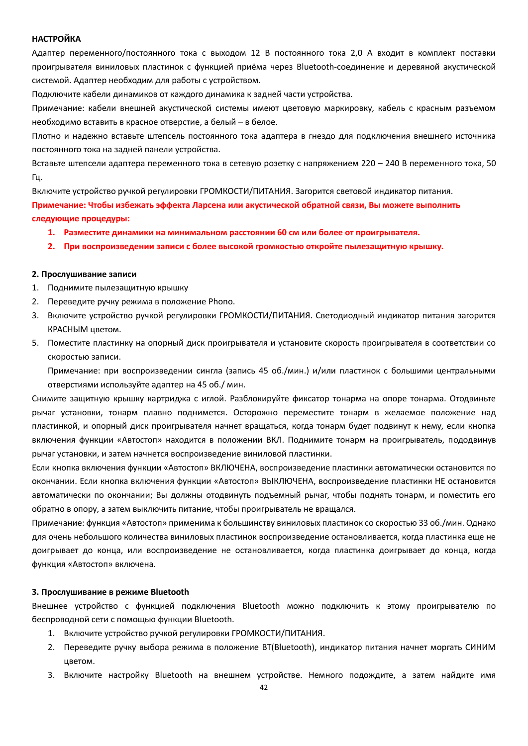#### **НАСТРОЙКА**

Адаптер переменного/постоянного тока с выходом 12 В постоянного тока 2,0 А входит в комплект поставки проигрывателя виниловых пластинок с функцией приёма через Bluetooth-соединение и деревяной акустической системой. Адаптер необходим для работы с устройством.

Подключите кабели динамиков от каждого динамика к задней части устройства.

Примечание: кабели внешней акустической системы имеют цветовую маркировку, кабель с красным разъемом необходимо вставить в красное отверстие, а белый – в белое.

Плотно и надежно вставьте штепсель постоянного тока адаптера в гнездо для подключения внешнего источника постоянного тока на задней панели устройства.

Вставьте штепсели адаптера переменного тока в сетевую розетку с напряжением 220 – 240 В переменного тока, 50 Гц.

Включите устройство ручкой регулировки ГРОМКОСТИ/ПИТАНИЯ. Загорится световой индикатор питания. **Примечание: Чтобы избежать эффекта Ларсена или акустической обратной связи, Вы можете выполнить следующие процедуры:**

- **1. Разместите динамики на минимальном расстоянии 60 см или более от проигрывателя.**
- **2. При воспроизведении записи с более высокой громкостью откройте пылезащитную крышку.**

#### **2. Прослушивание записи**

- 1. Поднимите пылезащитную крышку
- 2. Переведите ручку режима в положение Phono.
- 3. Включите устройство ручкой регулировки ГРОМКОСТИ/ПИТАНИЯ. Светодиодный индикатор питания загорится КРАСНЫМ цветом.
- 5. Поместите пластинку на опорный диск проигрывателя и установите скорость проигрывателя в соответствии со скоростью записи.

Примечание: при воспроизведении сингла (запись 45 об./мин.) и/или пластинок с большими центральными отверстиями используйте адаптер на 45 об./ мин.

Снимите защитную крышку картриджа с иглой. Разблокируйте фиксатор тонарма на опоре тонарма. Отодвиньте рычаг установки, тонарм плавно поднимется. Осторожно переместите тонарм в желаемое положение над пластинкой, и опорный диск проигрывателя начнет вращаться, когда тонарм будет подвинут к нему, если кнопка включения функции «Автостоп» находится в положении ВКЛ. Поднимите тонарм на проигрыватель, пододвинув рычаг установки, и затем начнется воспроизведение виниловой пластинки.

Если кнопка включения функции «Автостоп» ВКЛЮЧЕНА, воспроизведение пластинки автоматически остановится по окончании. Если кнопка включения функции «Автостоп» ВЫКЛЮЧЕНА, воспроизведение пластинки НЕ остановится автоматически по окончании; Вы должны отодвинуть подъемный рычаг, чтобы поднять тонарм, и поместить его обратно в опору, а затем выключить питание, чтобы проигрыватель не вращался.

Примечание: функция «Автостоп» применима к большинству виниловых пластинок со скоростью 33 об./мин. Однако для очень небольшого количества виниловых пластинок воспроизведение остановливается, когда пластинка еще не доигрывает до конца, или воспроизведение не остановливается, когда пластинка доигрывает до конца, когда функция «Автостоп» включена.

#### **3. Прослушивание в режиме Bluetooth**

Внешнее устройство с функцией подключения Bluetooth можно подключить к этому проигрывателю по беспроводной сети с помощью функции Bluetooth.

- 1. Включите устройство ручкой регулировки ГРОМКОСТИ/ПИТАНИЯ.
- 2. Переведите ручку выбора режима в положение BT(Bluetooth), индикатор питания начнет моргать СИНИМ цветом.
- 3. Включите настройку Bluetooth на внешнем устройстве. Немного подождите, а затем найдите имя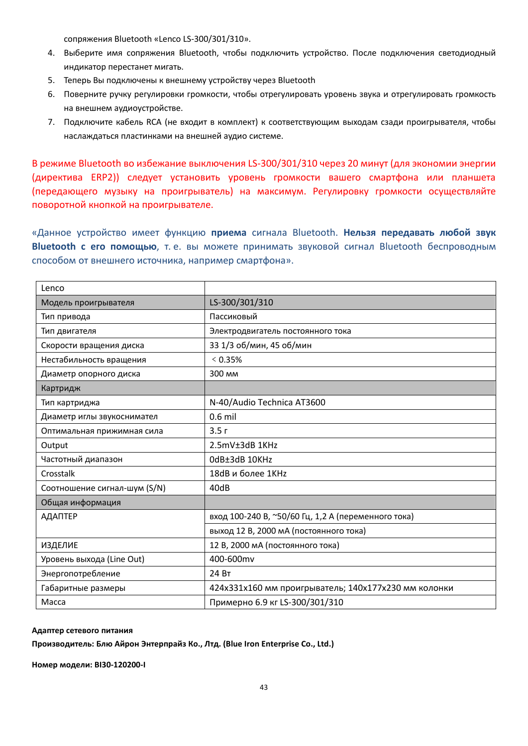сопряжения Bluetooth «Lenco LS-300/301/310».

- 4. Выберите имя сопряжения Bluetooth, чтобы подключить устройство. После подключения светодиодный индикатор перестанет мигать.
- 5. Теперь Вы подключены к внешнему устройству через Bluetooth
- 6. Поверните ручку регулировки громкости, чтобы отрегулировать уровень звука и отрегулировать громкость на внешнем аудиоустройстве.
- 7. Подключите кабель RCA (не входит в комплект) к соответствующим выходам сзади проигрывателя, чтобы наслаждаться пластинками на внешней аудио системе.

В режиме Bluetooth во избежание выключения LS-300/301/310 через 20 минут (для экономии энергии (директива ERP2)) следует установить уровень громкости вашего смартфона или планшета (передающего музыку на проигрыватель) на максимум. Регулировку громкости осуществляйте поворотной кнопкой на проигрывателе.

«Данное устройство имеет функцию **приема** сигнала Bluetooth. **Нельзя передавать любой звук Bluetooth с его помощью**, т. е. вы можете принимать звуковой сигнал Bluetooth беспроводным способом от внешнего источника, например смартфона».

| Lenco                        |                                                      |
|------------------------------|------------------------------------------------------|
| Модель проигрывателя         | LS-300/301/310                                       |
| Тип привода                  | Пассиковый                                           |
| Тип двигателя                | Электродвигатель постоянного тока                    |
| Скорости вращения диска      | 33 1/3 об/мин, 45 об/мин                             |
| Нестабильность вращения      | $< 0.35\%$                                           |
| Диаметр опорного диска       | 300 MM                                               |
| Картридж                     |                                                      |
| Тип картриджа                | N-40/Audio Technica AT3600                           |
| Диаметр иглы звукоснимател   | $0.6$ mil                                            |
| Оптимальная прижимная сила   | 3.5r                                                 |
| Output                       | 2.5mV±3dB 1KHz                                       |
| Частотный диапазон           | OdB±3dB 10KHz                                        |
| Crosstalk                    | 18dB и более 1КНz                                    |
| Соотношение сигнал-шум (S/N) | 40dB                                                 |
| Общая информация             |                                                      |
| АДАПТЕР                      | вход 100-240 В, ~50/60 Гц, 1,2 А (переменного тока)  |
|                              | выход 12 В, 2000 мА (постоянного тока)               |
| <b>ИЗДЕЛИЕ</b>               | 12 В, 2000 мА (постоянного тока)                     |
| Уровень выхода (Line Out)    | 400-600mv                                            |
| Энергопотребление            | 24 BT                                                |
| Габаритные размеры           | 424x331x160 мм проигрыватель; 140x177x230 мм колонки |
| Macca                        | Примерно 6.9 кг LS-300/301/310                       |

#### **Адаптер сетевого питания**

**Производитель: Блю Айрон Энтерпрайз Ко., Лтд. (Blue Iron Enterprise Co., Ltd.)**

**Номер модели: BI30-120200-I**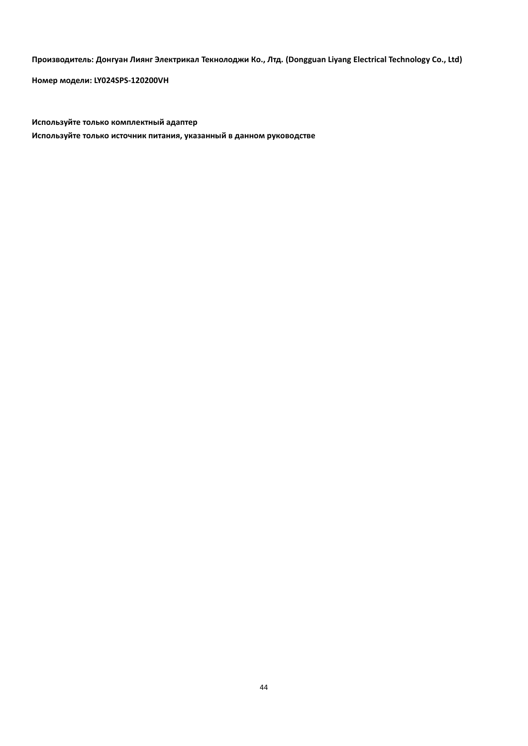**Производитель: Донгуан Лиянг Электрикал Текнолоджи Ко., Лтд. (Dongguan Liyang Electrical Technology Co., Ltd)**

**Номер модели: LY024SPS-120200VH**

**Используйте только комплектный адаптер Используйте только источник питания, указанный в данном руководстве**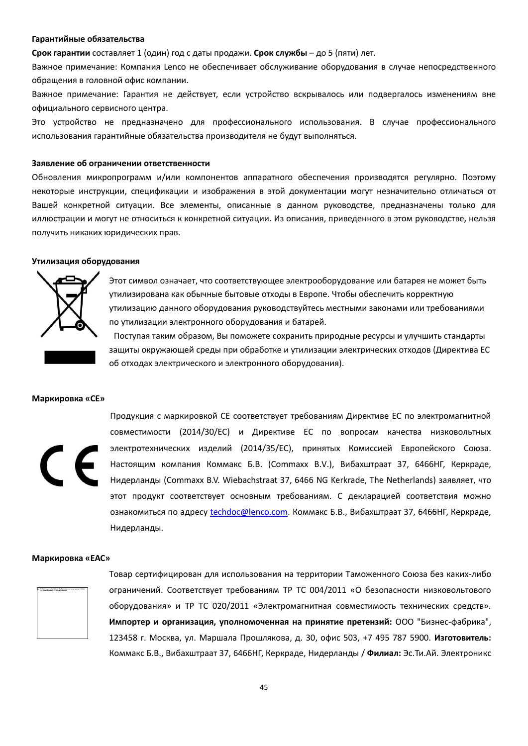#### **Гарантийные обязательства**

**Срок гарантии** составляет 1 (один) год с даты продажи. **Срок службы** – до 5 (пяти) лет.

Важное примечание: Компания Lenco не обеспечивает обслуживание оборудования в случае непосредственного обращения в головной офис компании.

Важное примечание: Гарантия не действует, если устройство вскрывалось или подвергалось изменениям вне официального сервисного центра.

Это устройство не предназначено для профессионального использования. В случае профессионального использования гарантийные обязательства производителя не будут выполняться.

#### **Заявление об ограничении ответственности**

Обновления микропрограмм и/или компонентов аппаратного обеспечения производятся регулярно. Поэтому некоторые инструкции, спецификации и изображения в этой документации могут незначительно отличаться от Вашей конкретной ситуации. Все элементы, описанные в данном руководстве, предназначены только для иллюстрации и могут не относиться к конкретной ситуации. Из описания, приведенного в этом руководстве, нельзя получить никаких юридических прав.

#### **Утилизация оборудования**



Этот символ означает, что соответствующее электрооборудование или батарея не может быть утилизирована как обычные бытовые отходы в Европе. Чтобы обеспечить корректную утилизацию данного оборудования руководствуйтесь местными законами или требованиями по утилизации электронного оборудования и батарей.

Поступая таким образом, Вы поможете сохранить природные ресурсы и улучшить стандарты защиты окружающей среды при обработке и утилизации электрических отходов (Директива ЕС об отходах электрического и электронного оборудования).

#### **Маркировка «CE»**



Продукция с маркировкой CE соответствует требованиям Директиве ЕС по электромагнитной совместимости (2014/30/EС) и Директиве ЕС по вопросам качества низковольтных электротехнических изделий (2014/35/EС), принятых Комиссией Европейского Союза. Настоящим компания Коммакс Б.В. (Commaxx B.V.), Вибахштраат 37, 6466НГ, Керкраде, Нидерланды (Commaxx B.V. Wiebachstraat 37, 6466 NG Kerkrade, The Netherlands) заявляет, что этот продукт соответствует основным требованиям. С декларацией соответствия можно ознакомиться по адресу [techdoc@lenco.com](mailto:techdoc@lenco.com). Коммакс Б.В., Вибахштраат 37, 6466НГ, Керкраде, Нидерланды.

#### **Маркировка «EAC»**



Товар сертифицирован для использования на территории Таможенного Союза без каких-либо ограничений. Соответствует требованиям ТР ТС 004/2011 «О безопасности низковольтового оборудования» и ТР ТС 020/2011 «Электромагнитная совместимость технических средств». **Импортер и организация, уполномоченная на принятие претензий:** ООО "Бизнес-фабрика", 123458 г. Москва, ул. Маршала Прошлякова, д. 30, офис 503, +7 495 787 5900. **Изготовитель:**  Коммакс Б.В., Вибахштраат 37, 6466НГ, Керкраде, Нидерланды / **Филиал:** Эс.Ти.Ай. Электроникс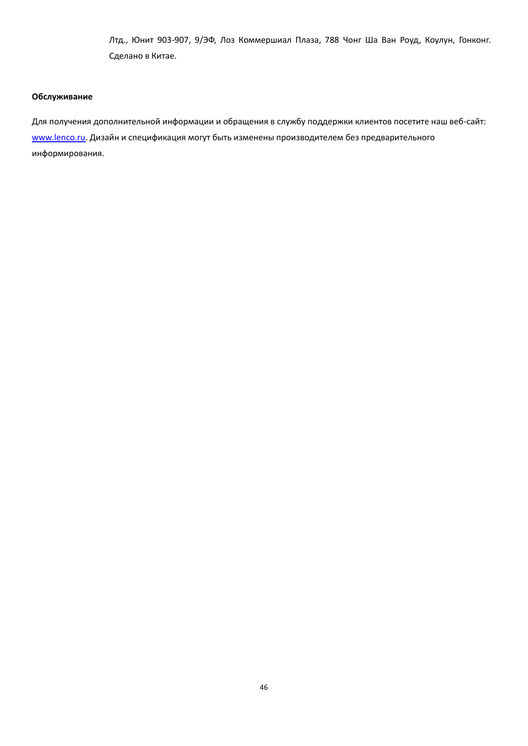Лтд., Юнит 903-907, 9/ЭФ, Лоз Коммершиал Плаза, 788 Чонг Ша Ван Роуд, Коулун, Гонконг. Сделано в Китае.

#### **Обслуживание**

Для получения дополнительной информации и обращения в службу поддержки клиентов посетите наш веб-сайт: www.lenco.ru</u>. Дизайн и спецификация могут быть изменены производителем без предварительного информирования.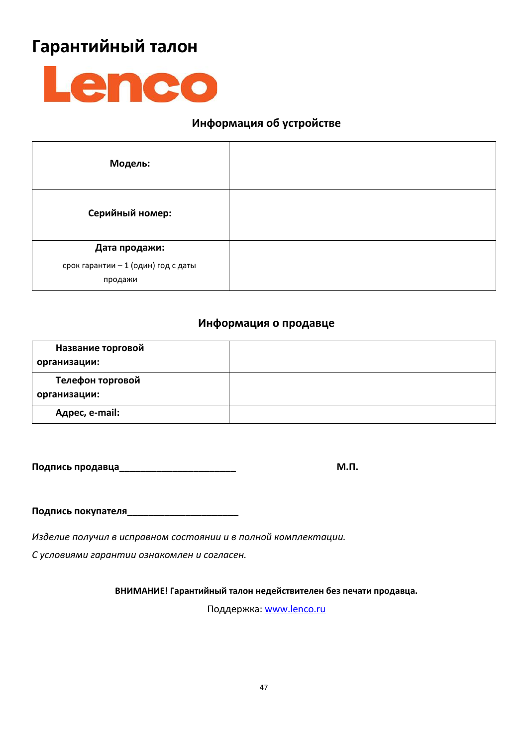# **Гарантийный талон**



# **Информация об устройстве**

| Модель:                                        |  |
|------------------------------------------------|--|
| Серийный номер:                                |  |
| Дата продажи:                                  |  |
| срок гарантии - 1 (один) год с даты<br>продажи |  |

# **Информация о продавце**

| Название торговой<br>организации: |  |
|-----------------------------------|--|
| Телефон торговой<br>организации:  |  |
| Адрес, e-mail:                    |  |

**Подпись продавца\_\_\_\_\_\_\_\_\_\_\_\_\_\_\_\_\_\_\_\_\_\_ М.П.**

**Подпись покупателя\_\_\_\_\_\_\_\_\_\_\_\_\_\_\_\_\_\_\_\_\_**

*Изделие получил в исправном состоянии и в полной комплектации.* 

*С условиями гарантии ознакомлен и согласен.* 

**ВНИМАНИЕ! Гарантийный талон недействителен без печати продавца.**

Поддержка: [www.lenco.ru](http://www.lenco.ru/)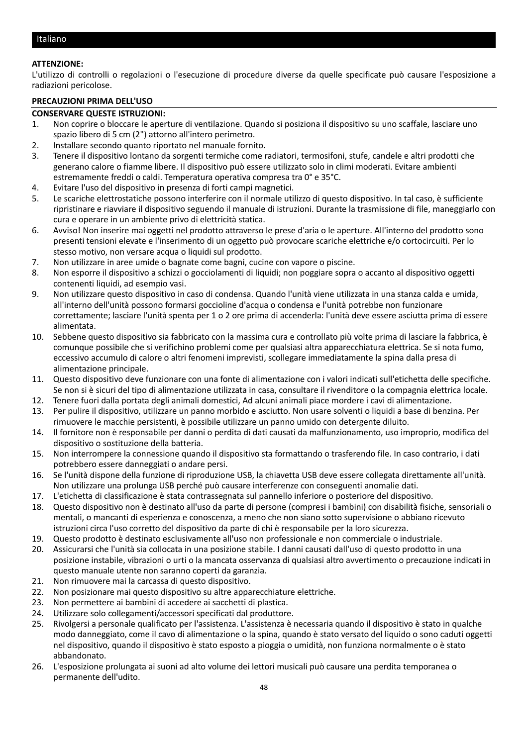#### <span id="page-47-0"></span>**ATTENZIONE:**

L'utilizzo di controlli o regolazioni o l'esecuzione di procedure diverse da quelle specificate può causare l'esposizione a radiazioni pericolose.

#### **PRECAUZIONI PRIMA DELL'USO**

#### **CONSERVARE QUESTE ISTRUZIONI:**

- 1. Non coprire o bloccare le aperture di ventilazione. Quando si posiziona il dispositivo su uno scaffale, lasciare uno spazio libero di 5 cm (2") attorno all'intero perimetro.
- 2. Installare secondo quanto riportato nel manuale fornito.
- 3. Tenere il dispositivo lontano da sorgenti termiche come radiatori, termosifoni, stufe, candele e altri prodotti che generano calore o fiamme libere. Il dispositivo può essere utilizzato solo in climi moderati. Evitare ambienti estremamente freddi o caldi. Temperatura operativa compresa tra 0° e 35°C.
- 4. Evitare l'uso del dispositivo in presenza di forti campi magnetici.
- 5. Le scariche elettrostatiche possono interferire con il normale utilizzo di questo dispositivo. In tal caso, è sufficiente ripristinare e riavviare il dispositivo seguendo il manuale di istruzioni. Durante la trasmissione di file, maneggiarlo con cura e operare in un ambiente privo di elettricità statica.
- 6. Avviso! Non inserire mai oggetti nel prodotto attraverso le prese d'aria o le aperture. All'interno del prodotto sono presenti tensioni elevate e l'inserimento di un oggetto può provocare scariche elettriche e/o cortocircuiti. Per lo stesso motivo, non versare acqua o liquidi sul prodotto.
- 7. Non utilizzare in aree umide o bagnate come bagni, cucine con vapore o piscine.
- 8. Non esporre il dispositivo a schizzi o gocciolamenti di liquidi; non poggiare sopra o accanto al dispositivo oggetti contenenti liquidi, ad esempio vasi.
- 9. Non utilizzare questo dispositivo in caso di condensa. Quando l'unità viene utilizzata in una stanza calda e umida, all'interno dell'unità possono formarsi goccioline d'acqua o condensa e l'unità potrebbe non funzionare correttamente; lasciare l'unità spenta per 1 o 2 ore prima di accenderla: l'unità deve essere asciutta prima di essere alimentata.
- 10. Sebbene questo dispositivo sia fabbricato con la massima cura e controllato più volte prima di lasciare la fabbrica, è comunque possibile che si verifichino problemi come per qualsiasi altra apparecchiatura elettrica. Se si nota fumo, eccessivo accumulo di calore o altri fenomeni imprevisti, scollegare immediatamente la spina dalla presa di alimentazione principale.
- 11. Questo dispositivo deve funzionare con una fonte di alimentazione con i valori indicati sull'etichetta delle specifiche. Se non si è sicuri del tipo di alimentazione utilizzata in casa, consultare il rivenditore o la compagnia elettrica locale.
- 12. Tenere fuori dalla portata degli animali domestici, Ad alcuni animali piace mordere i cavi di alimentazione.
- 13. Per pulire il dispositivo, utilizzare un panno morbido e asciutto. Non usare solventi o liquidi a base di benzina. Per rimuovere le macchie persistenti, è possibile utilizzare un panno umido con detergente diluito.
- 14. Il fornitore non è responsabile per danni o perdita di dati causati da malfunzionamento, uso improprio, modifica del dispositivo o sostituzione della batteria.
- 15. Non interrompere la connessione quando il dispositivo sta formattando o trasferendo file. In caso contrario, i dati potrebbero essere danneggiati o andare persi.
- 16. Se l'unità dispone della funzione di riproduzione USB, la chiavetta USB deve essere collegata direttamente all'unità. Non utilizzare una prolunga USB perché può causare interferenze con conseguenti anomalie dati.
- 17. L'etichetta di classificazione è stata contrassegnata sul pannello inferiore o posteriore del dispositivo.
- 18. Questo dispositivo non è destinato all'uso da parte di persone (compresi i bambini) con disabilità fisiche, sensoriali o mentali, o mancanti di esperienza e conoscenza, a meno che non siano sotto supervisione o abbiano ricevuto istruzioni circa l'uso corretto del dispositivo da parte di chi è responsabile per la loro sicurezza.
- 19. Questo prodotto è destinato esclusivamente all'uso non professionale e non commerciale o industriale.
- 20. Assicurarsi che l'unità sia collocata in una posizione stabile. I danni causati dall'uso di questo prodotto in una posizione instabile, vibrazioni o urti o la mancata osservanza di qualsiasi altro avvertimento o precauzione indicati in questo manuale utente non saranno coperti da garanzia.
- 21. Non rimuovere mai la carcassa di questo dispositivo.
- 22. Non posizionare mai questo dispositivo su altre apparecchiature elettriche.
- 23. Non permettere ai bambini di accedere ai sacchetti di plastica.
- 24. Utilizzare solo collegamenti/accessori specificati dal produttore.
- 25. Rivolgersi a personale qualificato per l'assistenza. L'assistenza è necessaria quando il dispositivo è stato in qualche modo danneggiato, come il cavo di alimentazione o la spina, quando è stato versato del liquido o sono caduti oggetti nel dispositivo, quando il dispositivo è stato esposto a pioggia o umidità, non funziona normalmente o è stato abbandonato.
- 26. L'esposizione prolungata ai suoni ad alto volume dei lettori musicali può causare una perdita temporanea o permanente dell'udito.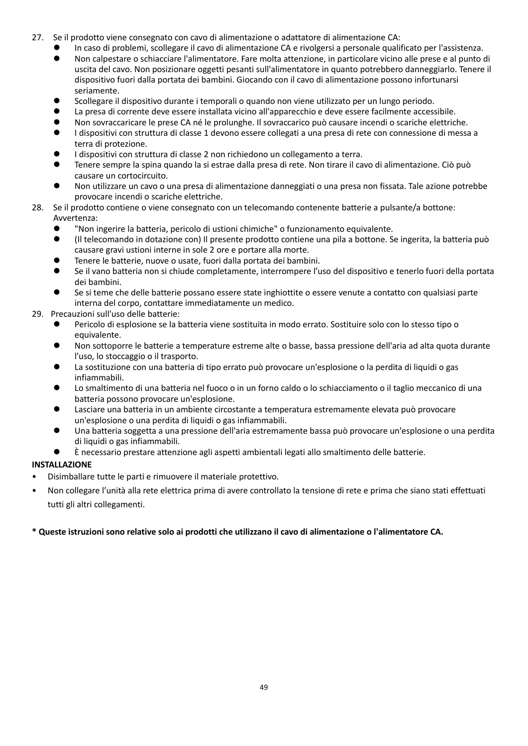- 27. Se il prodotto viene consegnato con cavo di alimentazione o adattatore di alimentazione CA:
	- ⚫ In caso di problemi, scollegare il cavo di alimentazione CA e rivolgersi a personale qualificato per l'assistenza.
	- ⚫ Non calpestare o schiacciare l'alimentatore. Fare molta attenzione, in particolare vicino alle prese e al punto di uscita del cavo. Non posizionare oggetti pesanti sull'alimentatore in quanto potrebbero danneggiarlo. Tenere il dispositivo fuori dalla portata dei bambini. Giocando con il cavo di alimentazione possono infortunarsi seriamente.
	- ⚫ Scollegare il dispositivo durante i temporali o quando non viene utilizzato per un lungo periodo.
	- La presa di corrente deve essere installata vicino all'apparecchio e deve essere facilmente accessibile.
	- ⚫ Non sovraccaricare le prese CA né le prolunghe. Il sovraccarico può causare incendi o scariche elettriche.
	- ⚫ I dispositivi con struttura di classe 1 devono essere collegati a una presa di rete con connessione di messa a terra di protezione.
	- ⚫ I dispositivi con struttura di classe 2 non richiedono un collegamento a terra.
	- ⚫ Tenere sempre la spina quando la si estrae dalla presa di rete. Non tirare il cavo di alimentazione. Ciò può causare un cortocircuito.
	- ⚫ Non utilizzare un cavo o una presa di alimentazione danneggiati o una presa non fissata. Tale azione potrebbe provocare incendi o scariche elettriche.
- 28. Se il prodotto contiene o viene consegnato con un telecomando contenente batterie a pulsante/a bottone: Avvertenza:
	- ⚫ "Non ingerire la batteria, pericolo di ustioni chimiche" o funzionamento equivalente.
	- ⚫ (Il telecomando in dotazione con) Il presente prodotto contiene una pila a bottone. Se ingerita, la batteria può causare gravi ustioni interne in sole 2 ore e portare alla morte.
	- ⚫ Tenere le batterie, nuove o usate, fuori dalla portata dei bambini.
	- ⚫ Se il vano batteria non si chiude completamente, interrompere l'uso del dispositivo e tenerlo fuori della portata dei bambini.
	- ⚫ Se si teme che delle batterie possano essere state inghiottite o essere venute a contatto con qualsiasi parte interna del corpo, contattare immediatamente un medico.
- 29. Precauzioni sull'uso delle batterie:
	- ⚫ Pericolo di esplosione se la batteria viene sostituita in modo errato. Sostituire solo con lo stesso tipo o equivalente.
	- ⚫ Non sottoporre le batterie a temperature estreme alte o basse, bassa pressione dell'aria ad alta quota durante l'uso, lo stoccaggio o il trasporto.
	- La sostituzione con una batteria di tipo errato può provocare un'esplosione o la perdita di liquidi o gas infiammabili.
	- ⚫ Lo smaltimento di una batteria nel fuoco o in un forno caldo o lo schiacciamento o il taglio meccanico di una batteria possono provocare un'esplosione.
	- ⚫ Lasciare una batteria in un ambiente circostante a temperatura estremamente elevata può provocare un'esplosione o una perdita di liquidi o gas infiammabili.
	- ⚫ Una batteria soggetta a una pressione dell'aria estremamente bassa può provocare un'esplosione o una perdita di liquidi o gas infiammabili.
	- ⚫ È necessario prestare attenzione agli aspetti ambientali legati allo smaltimento delle batterie.

# **INSTALLAZIONE**

- Disimballare tutte le parti e rimuovere il materiale protettivo.
- Non collegare l'unità alla rete elettrica prima di avere controllato la tensione di rete e prima che siano stati effettuati tutti gli altri collegamenti.

# **\* Queste istruzioni sono relative solo ai prodotti che utilizzano il cavo di alimentazione o l'alimentatore CA.**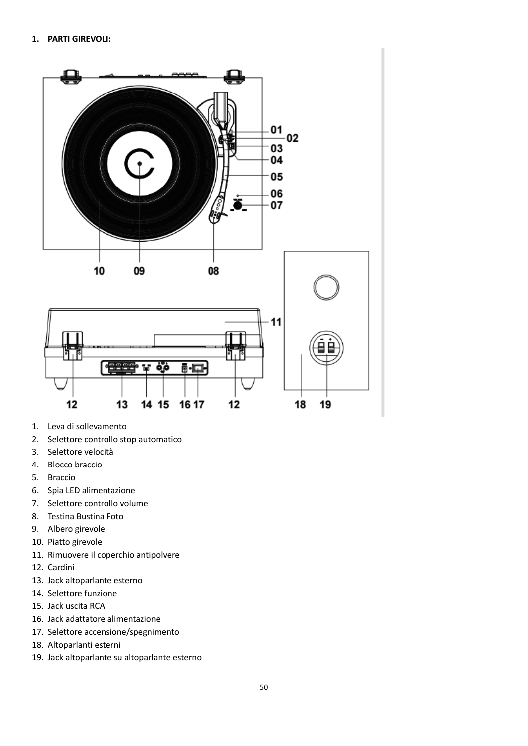

- 1. Leva di sollevamento
- 2. Selettore controllo stop automatico
- 3. Selettore velocità
- 4. Blocco braccio
- 5. Braccio
- 6. Spia LED alimentazione
- 7. Selettore controllo volume
- 8. Testina Bustina Foto
- 9. Albero girevole
- 10. Piatto girevole
- 11. Rimuovere il coperchio antipolvere
- 12. Cardini
- 13. Jack altoparlante esterno
- 14. Selettore funzione
- 15. Jack uscita RCA
- 16. Jack adattatore alimentazione
- 17. Selettore accensione/spegnimento
- 18. Altoparlanti esterni
- 19. Jack altoparlante su altoparlante esterno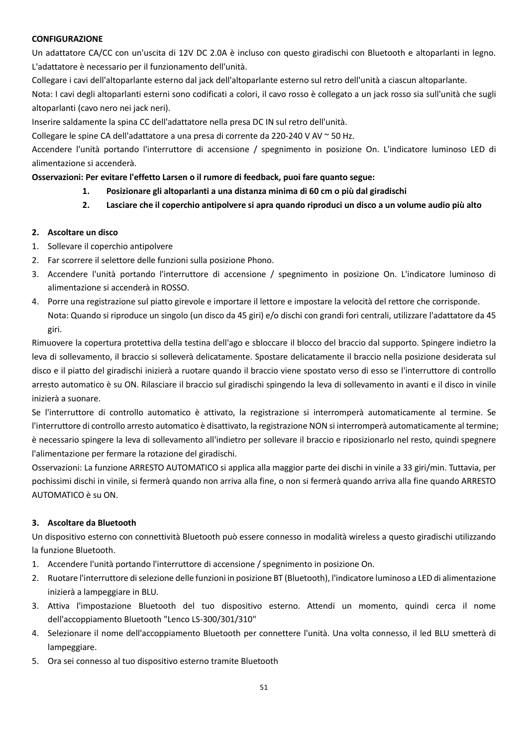#### **CONFIGURAZIONE**

Un adattatore CA/CC con un'uscita di 12V DC 2.0A è incluso con questo giradischi con Bluetooth e altoparlanti in legno. L'adattatore è necessario per il funzionamento dell'unità.

Collegare i cavi dell'altoparlante esterno dal jack dell'altoparlante esterno sul retro dell'unità a ciascun altoparlante.

Nota: I cavi degli altoparlanti esterni sono codificati a colori, il cavo rosso è collegato a un jack rosso sia sull'unità che sugli altoparlanti (cavo nero nei jack neri).

Inserire saldamente la spina CC dell'adattatore nella presa DC IN sul retro dell'unità.

Collegare le spine CA dell'adattatore a una presa di corrente da 220-240 V AV ~ 50 Hz.

Accendere l'unità portando l'interruttore di accensione / spegnimento in posizione On. L'indicatore luminoso LED di alimentazione si accenderà.

#### **Osservazioni: Per evitare l'effetto Larsen o il rumore di feedback, puoi fare quanto segue:**

- **1. Posizionare gli altoparlanti a una distanza minima di 60 cm o più dal giradischi**
- **2. Lasciare che il coperchio antipolvere si apra quando riproduci un disco a un volume audio più alto**

#### **2. Ascoltare un disco**

- 1. Sollevare il coperchio antipolvere
- 2. Far scorrere il selettore delle funzioni sulla posizione Phono.
- 3. Accendere l'unità portando l'interruttore di accensione / spegnimento in posizione On. L'indicatore luminoso di alimentazione si accenderà in ROSSO.
- 4. Porre una registrazione sul piatto girevole e importare il lettore e impostare la velocità del rettore che corrisponde. Nota: Quando si riproduce un singolo (un disco da 45 giri) e/o dischi con grandi fori centrali, utilizzare l'adattatore da 45 giri.

Rimuovere la copertura protettiva della testina dell'ago e sbloccare il blocco del braccio dal supporto. Spingere indietro la leva di sollevamento, il braccio si solleverà delicatamente. Spostare delicatamente il braccio nella posizione desiderata sul disco e il piatto del giradischi inizierà a ruotare quando il braccio viene spostato verso di esso se l'interruttore di controllo arresto automatico è su ON. Rilasciare il braccio sul giradischi spingendo la leva di sollevamento in avanti e il disco in vinile inizierà a suonare.

Se l'interruttore di controllo automatico è attivato, la registrazione si interromperà automaticamente al termine. Se l'interruttore di controllo arresto automatico è disattivato, la registrazione NON si interromperà automaticamente al termine; è necessario spingere la leva di sollevamento all'indietro per sollevare il braccio e riposizionarlo nel resto, quindi spegnere l'alimentazione per fermare la rotazione del giradischi.

Osservazioni: La funzione ARRESTO AUTOMATICO si applica alla maggior parte dei dischi in vinile a 33 giri/min. Tuttavia, per pochissimi dischi in vinile, si fermerà quando non arriva alla fine, o non si fermerà quando arriva alla fine quando ARRESTO AUTOMATICO è su ON.

#### **3. Ascoltare da Bluetooth**

Un dispositivo esterno con connettività Bluetooth può essere connesso in modalità wireless a questo giradischi utilizzando la funzione Bluetooth.

- 1. Accendere l'unità portando l'interruttore di accensione / spegnimento in posizione On.
- 2. Ruotare l'interruttore di selezione delle funzioni in posizione BT (Bluetooth), l'indicatore luminoso a LED di alimentazione inizierà a lampeggiare in BLU.
- 3. Attiva l'impostazione Bluetooth del tuo dispositivo esterno. Attendi un momento, quindi cerca il nome dell'accoppiamento Bluetooth "Lenco LS-300/301/310"
- 4. Selezionare il nome dell'accoppiamento Bluetooth per connettere l'unità. Una volta connesso, il led BLU smetterà di lampeggiare.
- 5. Ora sei connesso al tuo dispositivo esterno tramite Bluetooth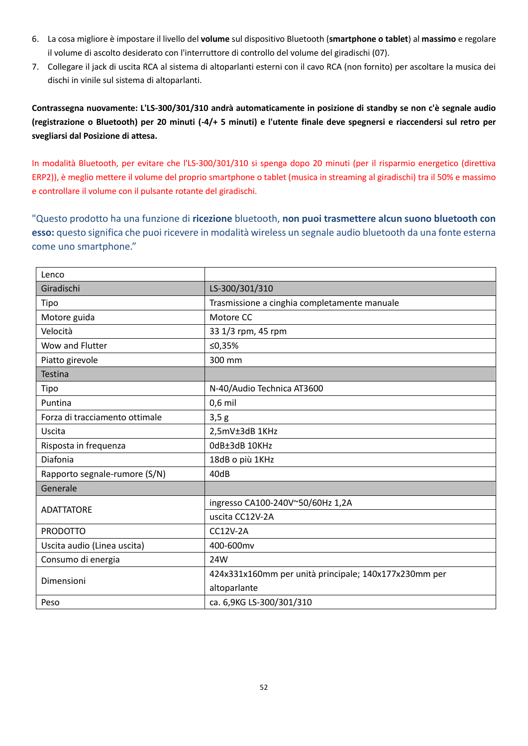- 6. La cosa migliore è impostare il livello del **volume** sul dispositivo Bluetooth (**smartphone o tablet**) al **massimo** e regolare il volume di ascolto desiderato con l'interruttore di controllo del volume del giradischi (07).
- 7. Collegare il jack di uscita RCA al sistema di altoparlanti esterni con il cavo RCA (non fornito) per ascoltare la musica dei dischi in vinile sul sistema di altoparlanti.

**Contrassegna nuovamente: L'LS-300/301/310 andrà automaticamente in posizione di standby se non c'è segnale audio (registrazione o Bluetooth) per 20 minuti (-4/+ 5 minuti) e l'utente finale deve spegnersi e riaccendersi sul retro per svegliarsi dal Posizione di attesa.**

In modalità Bluetooth, per evitare che l'LS-300/301/310 si spenga dopo 20 minuti (per il risparmio energetico (direttiva ERP2)), è meglio mettere il volume del proprio smartphone o tablet (musica in streaming al giradischi) tra il 50% e massimo e controllare il volume con il pulsante rotante del giradischi.

"Questo prodotto ha una funzione di **ricezione** bluetooth, **non puoi trasmettere alcun suono bluetooth con esso:** questo significa che puoi ricevere in modalità wireless un segnale audio bluetooth da una fonte esterna come uno smartphone."

| Lenco                          |                                                       |
|--------------------------------|-------------------------------------------------------|
| Giradischi                     | LS-300/301/310                                        |
| Tipo                           | Trasmissione a cinghia completamente manuale          |
| Motore guida                   | Motore CC                                             |
| Velocità                       | 33 1/3 rpm, 45 rpm                                    |
| Wow and Flutter                | ≤0,35%                                                |
| Piatto girevole                | 300 mm                                                |
| Testina                        |                                                       |
| Tipo                           | N-40/Audio Technica AT3600                            |
| Puntina                        | $0,6$ mil                                             |
| Forza di tracciamento ottimale | 3,5g                                                  |
| Uscita                         | 2,5mV±3dB 1KHz                                        |
| Risposta in frequenza          | OdB±3dB 10KHz                                         |
| Diafonia                       | 18dB o più 1KHz                                       |
| Rapporto segnale-rumore (S/N)  | 40dB                                                  |
| Generale                       |                                                       |
| <b>ADATTATORE</b>              | ingresso CA100-240V~50/60Hz 1,2A                      |
|                                | uscita CC12V-2A                                       |
| <b>PRODOTTO</b>                | <b>CC12V-2A</b>                                       |
| Uscita audio (Linea uscita)    | 400-600mv                                             |
| Consumo di energia             | 24W                                                   |
| Dimensioni                     | 424x331x160mm per unità principale; 140x177x230mm per |
|                                | altoparlante                                          |
| Peso                           | ca. 6,9KG LS-300/301/310                              |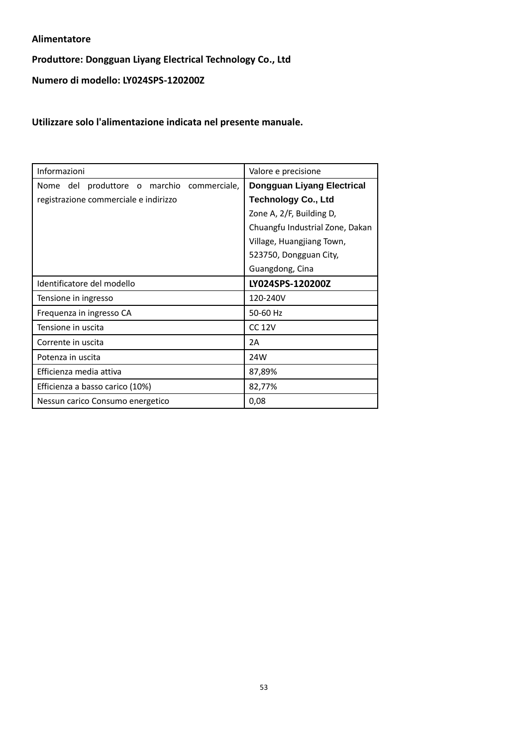#### **Alimentatore**

# **Produttore: Dongguan Liyang Electrical Technology Co., Ltd**

**Numero di modello: LY024SPS-120200Z**

**Utilizzare solo l'alimentazione indicata nel presente manuale.**

| Informazioni                               | Valore e precisione               |
|--------------------------------------------|-----------------------------------|
| Nome del produttore o marchio commerciale, | <b>Dongguan Liyang Electrical</b> |
| registrazione commerciale e indirizzo      | <b>Technology Co., Ltd</b>        |
|                                            | Zone A, 2/F, Building D,          |
|                                            | Chuangfu Industrial Zone, Dakan   |
|                                            | Village, Huangjiang Town,         |
|                                            | 523750, Dongguan City,            |
|                                            | Guangdong, Cina                   |
| Identificatore del modello                 | LY024SPS-120200Z                  |
| Tensione in ingresso                       | 120-240V                          |
| Frequenza in ingresso CA                   | 50-60 Hz                          |
| Tensione in uscita                         | <b>CC 12V</b>                     |
| Corrente in uscita                         | 2A                                |
| Potenza in uscita                          | 24W                               |
| Efficienza media attiva                    | 87,89%                            |
| Efficienza a basso carico (10%)            | 82,77%                            |
| Nessun carico Consumo energetico           | 0,08                              |